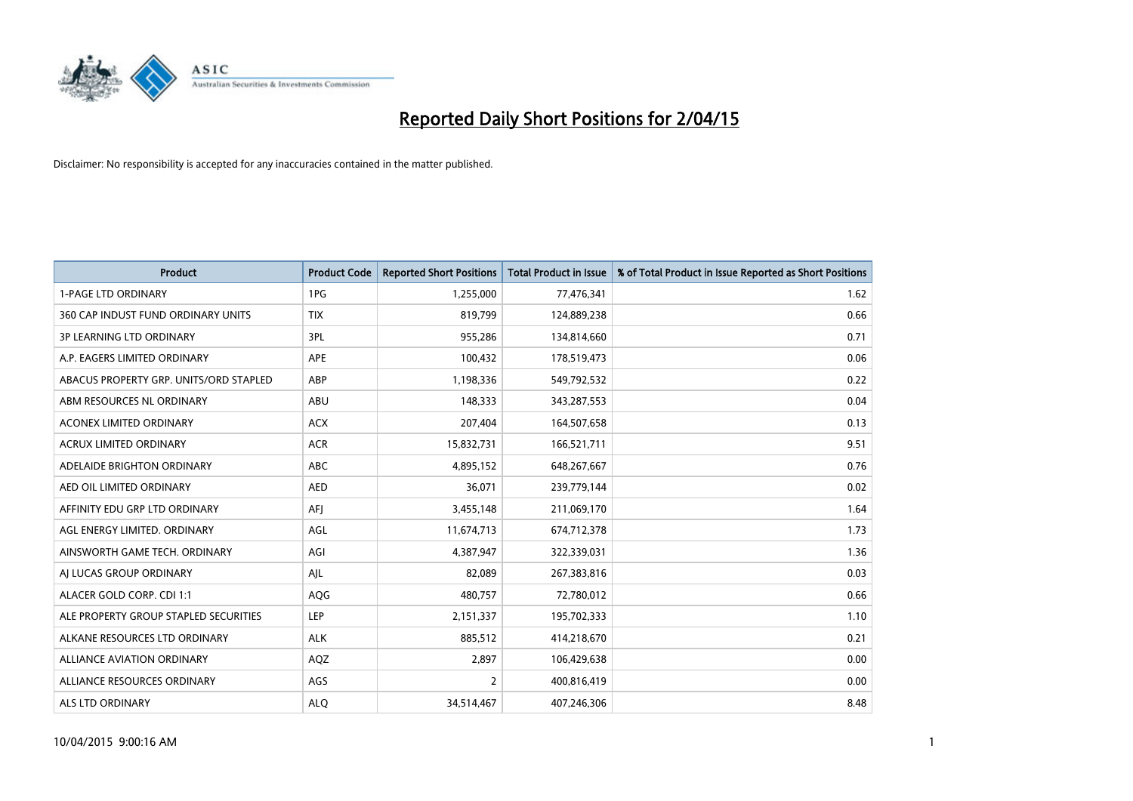

| <b>Product</b>                         | <b>Product Code</b> | <b>Reported Short Positions</b> | <b>Total Product in Issue</b> | % of Total Product in Issue Reported as Short Positions |
|----------------------------------------|---------------------|---------------------------------|-------------------------------|---------------------------------------------------------|
| <b>1-PAGE LTD ORDINARY</b>             | 1PG                 | 1,255,000                       | 77,476,341                    | 1.62                                                    |
| 360 CAP INDUST FUND ORDINARY UNITS     | <b>TIX</b>          | 819,799                         | 124,889,238                   | 0.66                                                    |
| 3P LEARNING LTD ORDINARY               | 3PL                 | 955,286                         | 134,814,660                   | 0.71                                                    |
| A.P. EAGERS LIMITED ORDINARY           | APE                 | 100,432                         | 178,519,473                   | 0.06                                                    |
| ABACUS PROPERTY GRP. UNITS/ORD STAPLED | ABP                 | 1,198,336                       | 549,792,532                   | 0.22                                                    |
| ABM RESOURCES NL ORDINARY              | ABU                 | 148,333                         | 343,287,553                   | 0.04                                                    |
| ACONEX LIMITED ORDINARY                | <b>ACX</b>          | 207,404                         | 164,507,658                   | 0.13                                                    |
| ACRUX LIMITED ORDINARY                 | <b>ACR</b>          | 15,832,731                      | 166,521,711                   | 9.51                                                    |
| ADELAIDE BRIGHTON ORDINARY             | <b>ABC</b>          | 4,895,152                       | 648,267,667                   | 0.76                                                    |
| AED OIL LIMITED ORDINARY               | <b>AED</b>          | 36,071                          | 239,779,144                   | 0.02                                                    |
| AFFINITY EDU GRP LTD ORDINARY          | AFJ                 | 3,455,148                       | 211,069,170                   | 1.64                                                    |
| AGL ENERGY LIMITED. ORDINARY           | AGL                 | 11,674,713                      | 674,712,378                   | 1.73                                                    |
| AINSWORTH GAME TECH. ORDINARY          | AGI                 | 4,387,947                       | 322,339,031                   | 1.36                                                    |
| AI LUCAS GROUP ORDINARY                | AJL                 | 82,089                          | 267,383,816                   | 0.03                                                    |
| ALACER GOLD CORP. CDI 1:1              | AQG                 | 480,757                         | 72,780,012                    | 0.66                                                    |
| ALE PROPERTY GROUP STAPLED SECURITIES  | LEP                 | 2,151,337                       | 195,702,333                   | 1.10                                                    |
| ALKANE RESOURCES LTD ORDINARY          | <b>ALK</b>          | 885,512                         | 414,218,670                   | 0.21                                                    |
| <b>ALLIANCE AVIATION ORDINARY</b>      | AQZ                 | 2,897                           | 106,429,638                   | 0.00                                                    |
| ALLIANCE RESOURCES ORDINARY            | AGS                 | $\overline{2}$                  | 400,816,419                   | 0.00                                                    |
| ALS LTD ORDINARY                       | <b>ALQ</b>          | 34,514,467                      | 407,246,306                   | 8.48                                                    |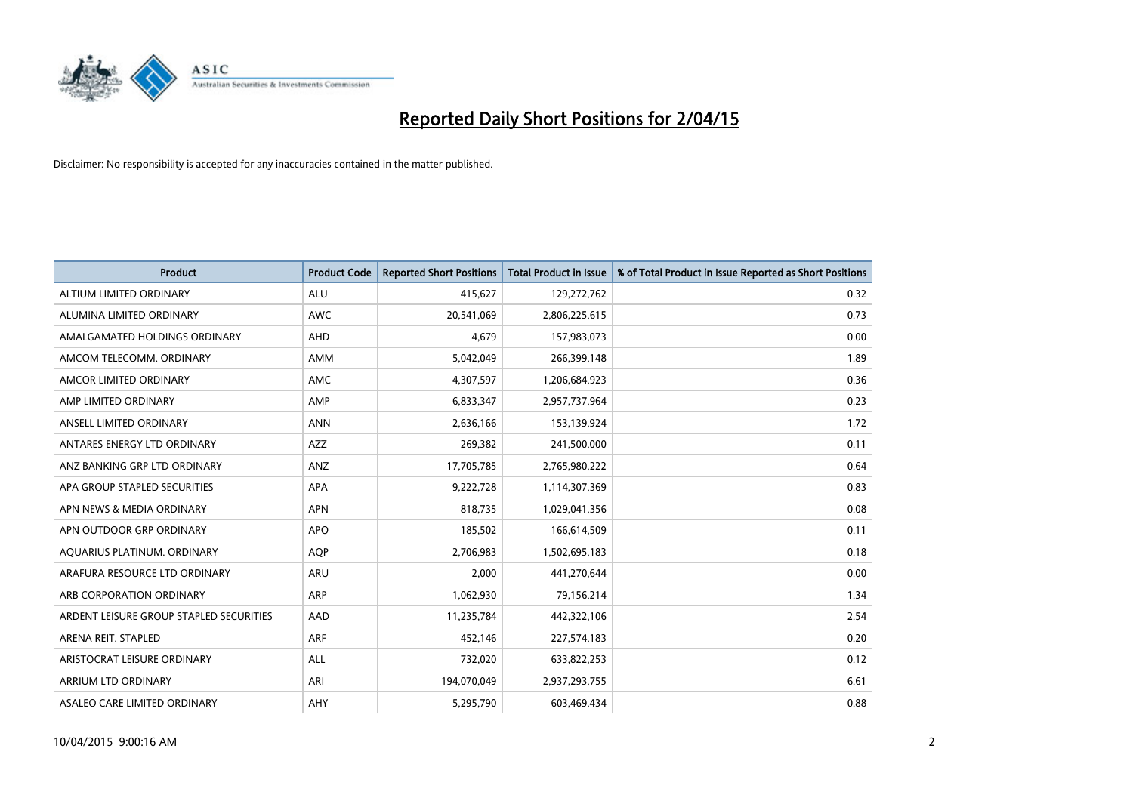

| <b>Product</b>                          | <b>Product Code</b> | <b>Reported Short Positions</b> | <b>Total Product in Issue</b> | % of Total Product in Issue Reported as Short Positions |
|-----------------------------------------|---------------------|---------------------------------|-------------------------------|---------------------------------------------------------|
| ALTIUM LIMITED ORDINARY                 | <b>ALU</b>          | 415,627                         | 129,272,762                   | 0.32                                                    |
| ALUMINA LIMITED ORDINARY                | AWC                 | 20,541,069                      | 2,806,225,615                 | 0.73                                                    |
| AMALGAMATED HOLDINGS ORDINARY           | AHD                 | 4.679                           | 157,983,073                   | 0.00                                                    |
| AMCOM TELECOMM. ORDINARY                | AMM                 | 5,042,049                       | 266,399,148                   | 1.89                                                    |
| AMCOR LIMITED ORDINARY                  | AMC                 | 4,307,597                       | 1,206,684,923                 | 0.36                                                    |
| AMP LIMITED ORDINARY                    | AMP                 | 6,833,347                       | 2,957,737,964                 | 0.23                                                    |
| ANSELL LIMITED ORDINARY                 | <b>ANN</b>          | 2,636,166                       | 153,139,924                   | 1.72                                                    |
| ANTARES ENERGY LTD ORDINARY             | AZZ                 | 269,382                         | 241,500,000                   | 0.11                                                    |
| ANZ BANKING GRP LTD ORDINARY            | ANZ                 | 17,705,785                      | 2,765,980,222                 | 0.64                                                    |
| APA GROUP STAPLED SECURITIES            | <b>APA</b>          | 9,222,728                       | 1,114,307,369                 | 0.83                                                    |
| APN NEWS & MEDIA ORDINARY               | <b>APN</b>          | 818,735                         | 1,029,041,356                 | 0.08                                                    |
| APN OUTDOOR GRP ORDINARY                | <b>APO</b>          | 185,502                         | 166,614,509                   | 0.11                                                    |
| AQUARIUS PLATINUM. ORDINARY             | <b>AOP</b>          | 2,706,983                       | 1,502,695,183                 | 0.18                                                    |
| ARAFURA RESOURCE LTD ORDINARY           | ARU                 | 2,000                           | 441,270,644                   | 0.00                                                    |
| ARB CORPORATION ORDINARY                | <b>ARP</b>          | 1,062,930                       | 79,156,214                    | 1.34                                                    |
| ARDENT LEISURE GROUP STAPLED SECURITIES | AAD                 | 11,235,784                      | 442,322,106                   | 2.54                                                    |
| ARENA REIT. STAPLED                     | <b>ARF</b>          | 452,146                         | 227,574,183                   | 0.20                                                    |
| ARISTOCRAT LEISURE ORDINARY             | <b>ALL</b>          | 732,020                         | 633,822,253                   | 0.12                                                    |
| ARRIUM LTD ORDINARY                     | ARI                 | 194,070,049                     | 2,937,293,755                 | 6.61                                                    |
| ASALEO CARE LIMITED ORDINARY            | AHY                 | 5,295,790                       | 603,469,434                   | 0.88                                                    |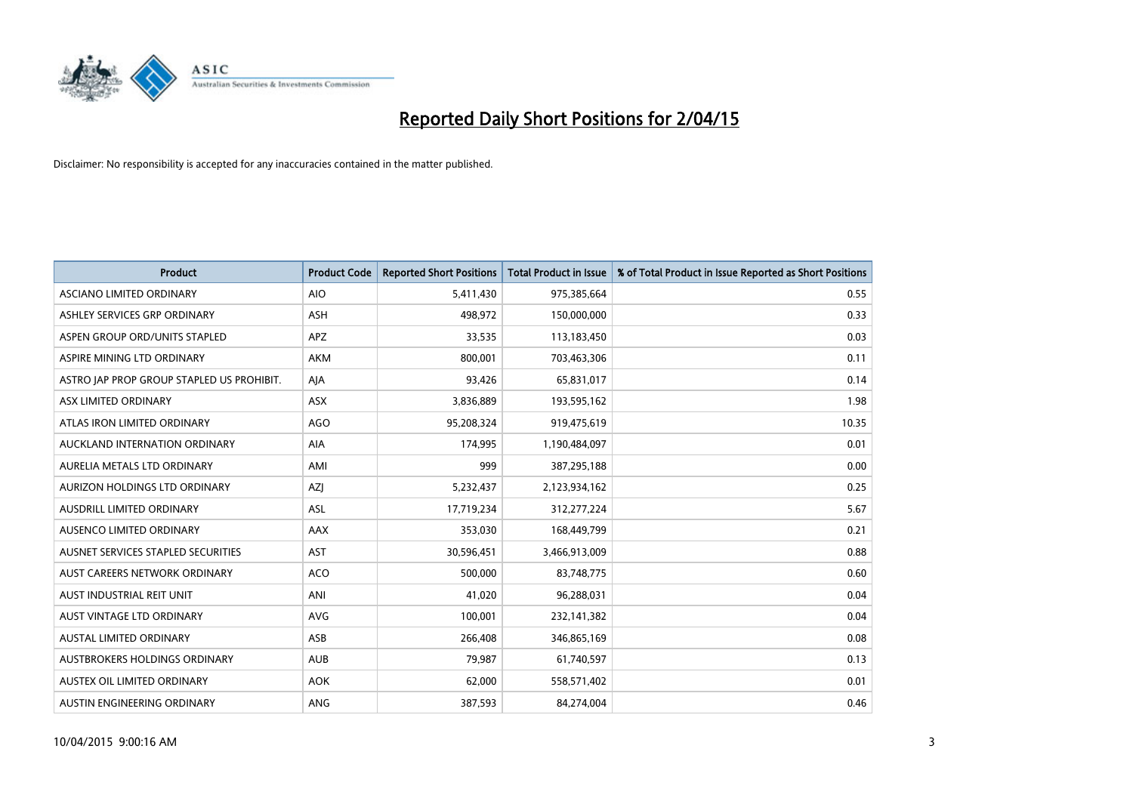

| <b>Product</b>                            | <b>Product Code</b> | <b>Reported Short Positions</b> | <b>Total Product in Issue</b> | % of Total Product in Issue Reported as Short Positions |
|-------------------------------------------|---------------------|---------------------------------|-------------------------------|---------------------------------------------------------|
| ASCIANO LIMITED ORDINARY                  | <b>AIO</b>          | 5,411,430                       | 975,385,664                   | 0.55                                                    |
| ASHLEY SERVICES GRP ORDINARY              | ASH                 | 498,972                         | 150,000,000                   | 0.33                                                    |
| ASPEN GROUP ORD/UNITS STAPLED             | APZ                 | 33,535                          | 113,183,450                   | 0.03                                                    |
| ASPIRE MINING LTD ORDINARY                | <b>AKM</b>          | 800,001                         | 703,463,306                   | 0.11                                                    |
| ASTRO JAP PROP GROUP STAPLED US PROHIBIT. | AJA                 | 93,426                          | 65,831,017                    | 0.14                                                    |
| ASX LIMITED ORDINARY                      | ASX                 | 3,836,889                       | 193,595,162                   | 1.98                                                    |
| ATLAS IRON LIMITED ORDINARY               | <b>AGO</b>          | 95,208,324                      | 919,475,619                   | 10.35                                                   |
| AUCKLAND INTERNATION ORDINARY             | AIA                 | 174,995                         | 1,190,484,097                 | 0.01                                                    |
| AURELIA METALS LTD ORDINARY               | AMI                 | 999                             | 387,295,188                   | 0.00                                                    |
| AURIZON HOLDINGS LTD ORDINARY             | AZJ                 | 5,232,437                       | 2,123,934,162                 | 0.25                                                    |
| AUSDRILL LIMITED ORDINARY                 | ASL                 | 17,719,234                      | 312,277,224                   | 5.67                                                    |
| AUSENCO LIMITED ORDINARY                  | AAX                 | 353,030                         | 168,449,799                   | 0.21                                                    |
| AUSNET SERVICES STAPLED SECURITIES        | <b>AST</b>          | 30,596,451                      | 3,466,913,009                 | 0.88                                                    |
| AUST CAREERS NETWORK ORDINARY             | ACO                 | 500,000                         | 83,748,775                    | 0.60                                                    |
| AUST INDUSTRIAL REIT UNIT                 | ANI                 | 41,020                          | 96,288,031                    | 0.04                                                    |
| AUST VINTAGE LTD ORDINARY                 | <b>AVG</b>          | 100,001                         | 232,141,382                   | 0.04                                                    |
| AUSTAL LIMITED ORDINARY                   | ASB                 | 266,408                         | 346,865,169                   | 0.08                                                    |
| AUSTBROKERS HOLDINGS ORDINARY             | <b>AUB</b>          | 79,987                          | 61,740,597                    | 0.13                                                    |
| AUSTEX OIL LIMITED ORDINARY               | <b>AOK</b>          | 62,000                          | 558,571,402                   | 0.01                                                    |
| AUSTIN ENGINEERING ORDINARY               | <b>ANG</b>          | 387,593                         | 84,274,004                    | 0.46                                                    |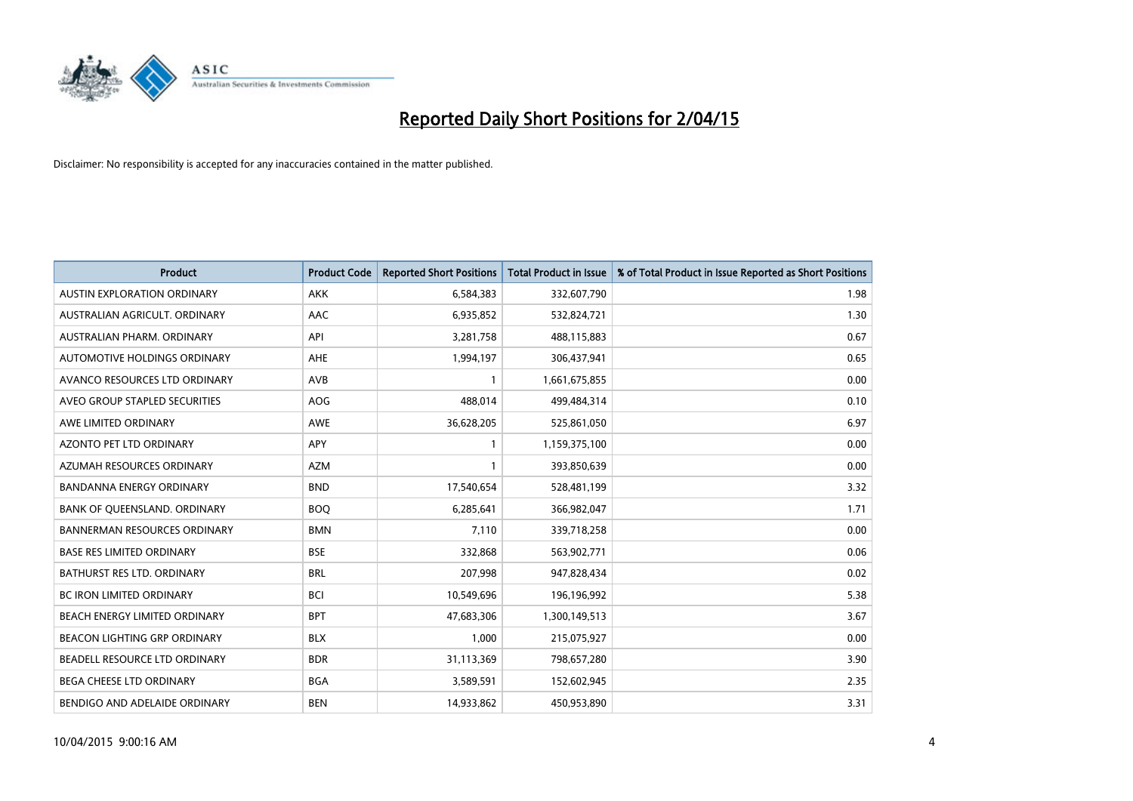

| <b>Product</b>                      | <b>Product Code</b> | <b>Reported Short Positions</b> | <b>Total Product in Issue</b> | % of Total Product in Issue Reported as Short Positions |
|-------------------------------------|---------------------|---------------------------------|-------------------------------|---------------------------------------------------------|
| <b>AUSTIN EXPLORATION ORDINARY</b>  | <b>AKK</b>          | 6,584,383                       | 332,607,790                   | 1.98                                                    |
| AUSTRALIAN AGRICULT. ORDINARY       | AAC                 | 6,935,852                       | 532,824,721                   | 1.30                                                    |
| AUSTRALIAN PHARM, ORDINARY          | API                 | 3,281,758                       | 488,115,883                   | 0.67                                                    |
| AUTOMOTIVE HOLDINGS ORDINARY        | AHE                 | 1,994,197                       | 306,437,941                   | 0.65                                                    |
| AVANCO RESOURCES LTD ORDINARY       | AVB                 | 1                               | 1,661,675,855                 | 0.00                                                    |
| AVEO GROUP STAPLED SECURITIES       | AOG                 | 488,014                         | 499,484,314                   | 0.10                                                    |
| AWE LIMITED ORDINARY                | <b>AWE</b>          | 36,628,205                      | 525,861,050                   | 6.97                                                    |
| AZONTO PET LTD ORDINARY             | APY                 | $\mathbf{1}$                    | 1,159,375,100                 | 0.00                                                    |
| AZUMAH RESOURCES ORDINARY           | <b>AZM</b>          | $\mathbf{1}$                    | 393,850,639                   | 0.00                                                    |
| <b>BANDANNA ENERGY ORDINARY</b>     | <b>BND</b>          | 17,540,654                      | 528,481,199                   | 3.32                                                    |
| BANK OF QUEENSLAND. ORDINARY        | <b>BOQ</b>          | 6,285,641                       | 366,982,047                   | 1.71                                                    |
| <b>BANNERMAN RESOURCES ORDINARY</b> | <b>BMN</b>          | 7,110                           | 339,718,258                   | 0.00                                                    |
| <b>BASE RES LIMITED ORDINARY</b>    | <b>BSE</b>          | 332,868                         | 563,902,771                   | 0.06                                                    |
| <b>BATHURST RES LTD. ORDINARY</b>   | <b>BRL</b>          | 207,998                         | 947,828,434                   | 0.02                                                    |
| <b>BC IRON LIMITED ORDINARY</b>     | <b>BCI</b>          | 10,549,696                      | 196,196,992                   | 5.38                                                    |
| BEACH ENERGY LIMITED ORDINARY       | <b>BPT</b>          | 47,683,306                      | 1,300,149,513                 | 3.67                                                    |
| BEACON LIGHTING GRP ORDINARY        | <b>BLX</b>          | 1,000                           | 215,075,927                   | 0.00                                                    |
| BEADELL RESOURCE LTD ORDINARY       | <b>BDR</b>          | 31,113,369                      | 798,657,280                   | 3.90                                                    |
| <b>BEGA CHEESE LTD ORDINARY</b>     | <b>BGA</b>          | 3,589,591                       | 152,602,945                   | 2.35                                                    |
| BENDIGO AND ADELAIDE ORDINARY       | <b>BEN</b>          | 14,933,862                      | 450,953,890                   | 3.31                                                    |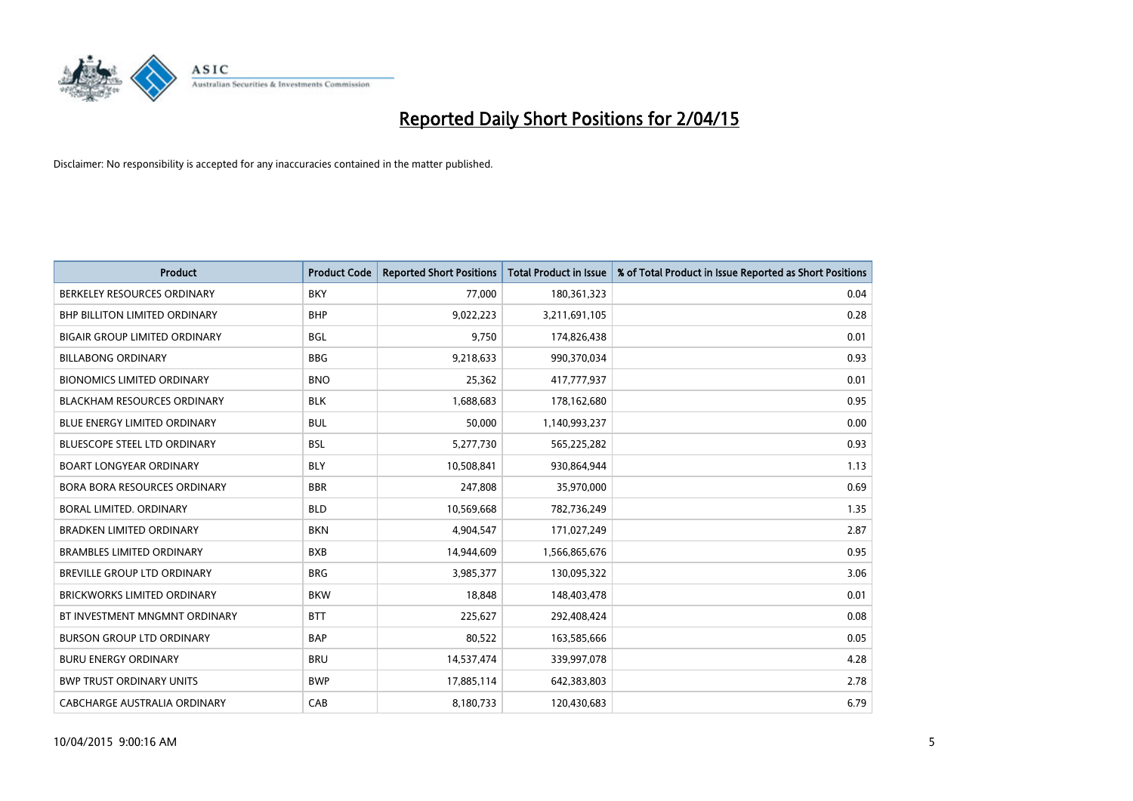

| <b>Product</b>                       | <b>Product Code</b> | <b>Reported Short Positions</b> | <b>Total Product in Issue</b> | % of Total Product in Issue Reported as Short Positions |
|--------------------------------------|---------------------|---------------------------------|-------------------------------|---------------------------------------------------------|
| BERKELEY RESOURCES ORDINARY          | <b>BKY</b>          | 77,000                          | 180,361,323                   | 0.04                                                    |
| BHP BILLITON LIMITED ORDINARY        | <b>BHP</b>          | 9,022,223                       | 3,211,691,105                 | 0.28                                                    |
| <b>BIGAIR GROUP LIMITED ORDINARY</b> | <b>BGL</b>          | 9,750                           | 174,826,438                   | 0.01                                                    |
| <b>BILLABONG ORDINARY</b>            | <b>BBG</b>          | 9,218,633                       | 990,370,034                   | 0.93                                                    |
| <b>BIONOMICS LIMITED ORDINARY</b>    | <b>BNO</b>          | 25,362                          | 417,777,937                   | 0.01                                                    |
| <b>BLACKHAM RESOURCES ORDINARY</b>   | <b>BLK</b>          | 1,688,683                       | 178,162,680                   | 0.95                                                    |
| <b>BLUE ENERGY LIMITED ORDINARY</b>  | <b>BUL</b>          | 50,000                          | 1,140,993,237                 | 0.00                                                    |
| <b>BLUESCOPE STEEL LTD ORDINARY</b>  | <b>BSL</b>          | 5,277,730                       | 565,225,282                   | 0.93                                                    |
| <b>BOART LONGYEAR ORDINARY</b>       | <b>BLY</b>          | 10,508,841                      | 930,864,944                   | 1.13                                                    |
| <b>BORA BORA RESOURCES ORDINARY</b>  | <b>BBR</b>          | 247,808                         | 35,970,000                    | 0.69                                                    |
| <b>BORAL LIMITED, ORDINARY</b>       | <b>BLD</b>          | 10,569,668                      | 782,736,249                   | 1.35                                                    |
| <b>BRADKEN LIMITED ORDINARY</b>      | <b>BKN</b>          | 4,904,547                       | 171,027,249                   | 2.87                                                    |
| <b>BRAMBLES LIMITED ORDINARY</b>     | <b>BXB</b>          | 14,944,609                      | 1,566,865,676                 | 0.95                                                    |
| <b>BREVILLE GROUP LTD ORDINARY</b>   | <b>BRG</b>          | 3,985,377                       | 130,095,322                   | 3.06                                                    |
| <b>BRICKWORKS LIMITED ORDINARY</b>   | <b>BKW</b>          | 18,848                          | 148,403,478                   | 0.01                                                    |
| BT INVESTMENT MNGMNT ORDINARY        | <b>BTT</b>          | 225,627                         | 292,408,424                   | 0.08                                                    |
| <b>BURSON GROUP LTD ORDINARY</b>     | <b>BAP</b>          | 80,522                          | 163,585,666                   | 0.05                                                    |
| <b>BURU ENERGY ORDINARY</b>          | <b>BRU</b>          | 14,537,474                      | 339,997,078                   | 4.28                                                    |
| <b>BWP TRUST ORDINARY UNITS</b>      | <b>BWP</b>          | 17,885,114                      | 642,383,803                   | 2.78                                                    |
| CABCHARGE AUSTRALIA ORDINARY         | CAB                 | 8,180,733                       | 120,430,683                   | 6.79                                                    |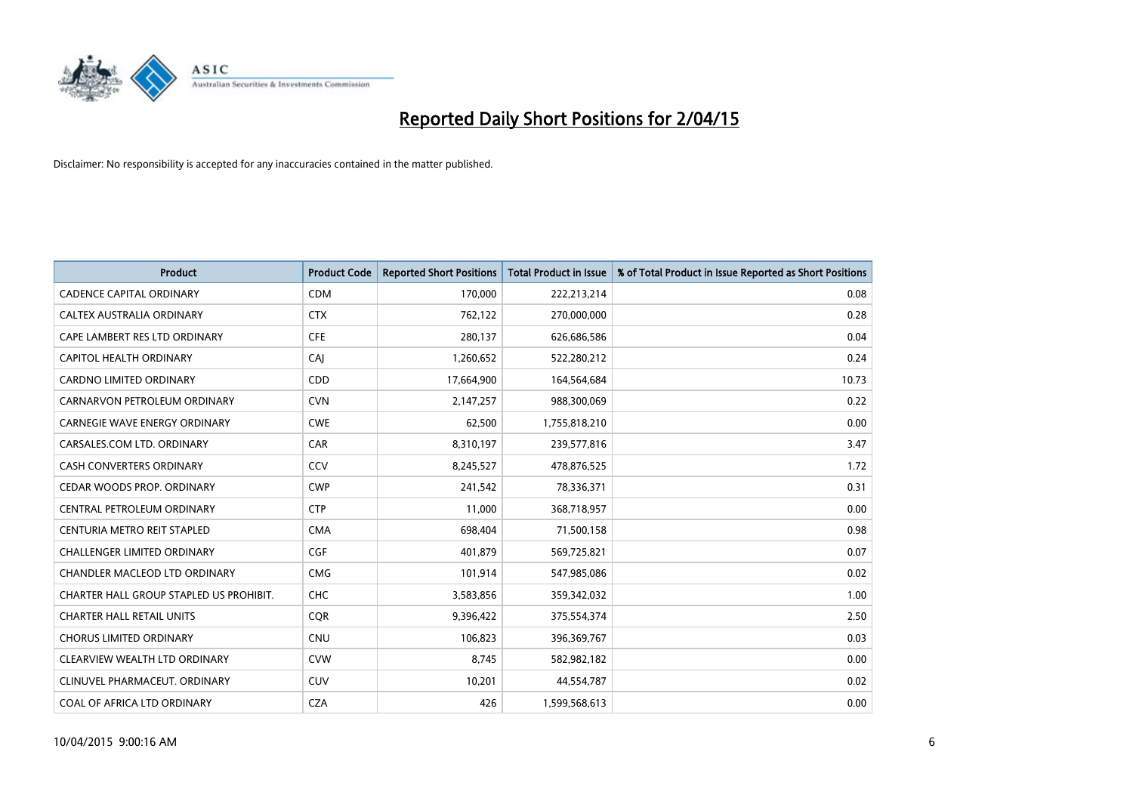

| <b>Product</b>                          | <b>Product Code</b> | <b>Reported Short Positions</b> | <b>Total Product in Issue</b> | % of Total Product in Issue Reported as Short Positions |
|-----------------------------------------|---------------------|---------------------------------|-------------------------------|---------------------------------------------------------|
| <b>CADENCE CAPITAL ORDINARY</b>         | <b>CDM</b>          | 170,000                         | 222,213,214                   | 0.08                                                    |
| CALTEX AUSTRALIA ORDINARY               | <b>CTX</b>          | 762,122                         | 270,000,000                   | 0.28                                                    |
| CAPE LAMBERT RES LTD ORDINARY           | <b>CFE</b>          | 280,137                         | 626,686,586                   | 0.04                                                    |
| <b>CAPITOL HEALTH ORDINARY</b>          | CAJ                 | 1,260,652                       | 522,280,212                   | 0.24                                                    |
| <b>CARDNO LIMITED ORDINARY</b>          | CDD                 | 17,664,900                      | 164,564,684                   | 10.73                                                   |
| CARNARVON PETROLEUM ORDINARY            | <b>CVN</b>          | 2,147,257                       | 988,300,069                   | 0.22                                                    |
| <b>CARNEGIE WAVE ENERGY ORDINARY</b>    | <b>CWE</b>          | 62,500                          | 1,755,818,210                 | 0.00                                                    |
| CARSALES.COM LTD. ORDINARY              | <b>CAR</b>          | 8,310,197                       | 239,577,816                   | 3.47                                                    |
| <b>CASH CONVERTERS ORDINARY</b>         | CCV                 | 8,245,527                       | 478,876,525                   | 1.72                                                    |
| CEDAR WOODS PROP. ORDINARY              | <b>CWP</b>          | 241,542                         | 78,336,371                    | 0.31                                                    |
| CENTRAL PETROLEUM ORDINARY              | <b>CTP</b>          | 11,000                          | 368,718,957                   | 0.00                                                    |
| CENTURIA METRO REIT STAPLED             | <b>CMA</b>          | 698,404                         | 71,500,158                    | 0.98                                                    |
| CHALLENGER LIMITED ORDINARY             | <b>CGF</b>          | 401,879                         | 569,725,821                   | 0.07                                                    |
| CHANDLER MACLEOD LTD ORDINARY           | <b>CMG</b>          | 101,914                         | 547,985,086                   | 0.02                                                    |
| CHARTER HALL GROUP STAPLED US PROHIBIT. | CHC                 | 3,583,856                       | 359,342,032                   | 1.00                                                    |
| <b>CHARTER HALL RETAIL UNITS</b>        | <b>COR</b>          | 9,396,422                       | 375,554,374                   | 2.50                                                    |
| <b>CHORUS LIMITED ORDINARY</b>          | <b>CNU</b>          | 106,823                         | 396,369,767                   | 0.03                                                    |
| CLEARVIEW WEALTH LTD ORDINARY           | <b>CVW</b>          | 8,745                           | 582,982,182                   | 0.00                                                    |
| CLINUVEL PHARMACEUT, ORDINARY           | <b>CUV</b>          | 10,201                          | 44,554,787                    | 0.02                                                    |
| COAL OF AFRICA LTD ORDINARY             | <b>CZA</b>          | 426                             | 1,599,568,613                 | 0.00                                                    |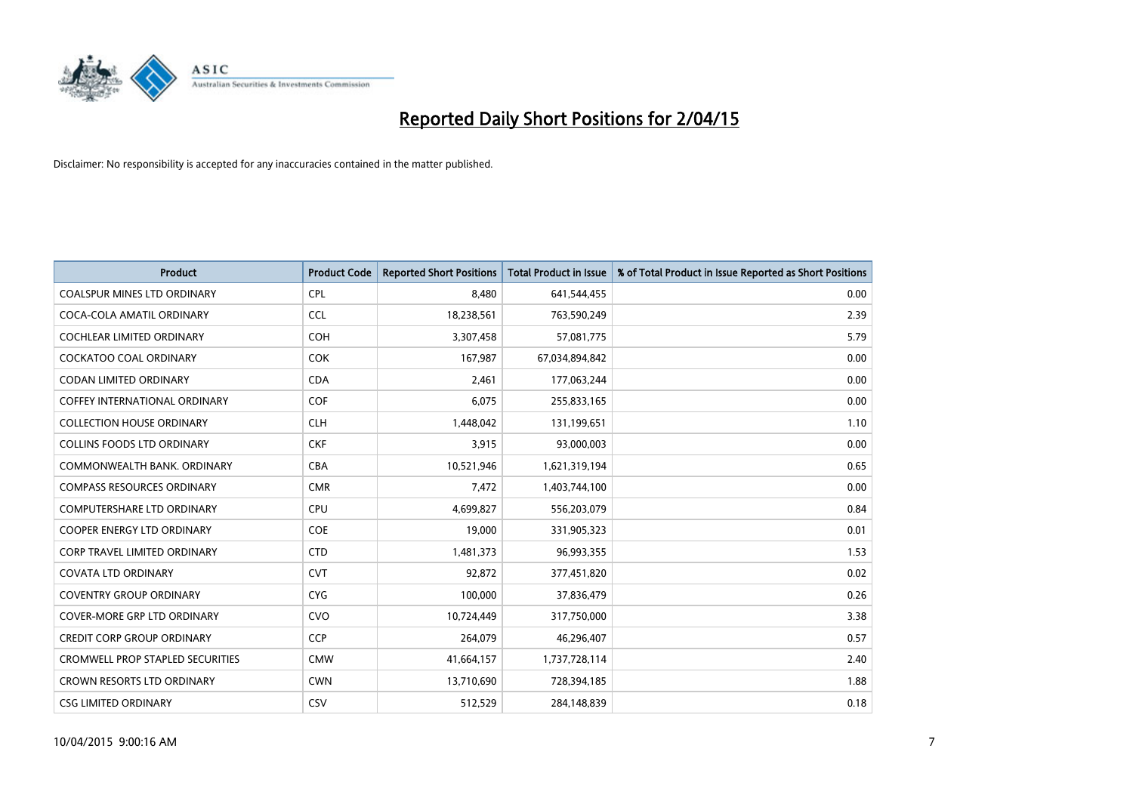

| <b>Product</b>                       | <b>Product Code</b> | <b>Reported Short Positions</b> | <b>Total Product in Issue</b> | % of Total Product in Issue Reported as Short Positions |
|--------------------------------------|---------------------|---------------------------------|-------------------------------|---------------------------------------------------------|
| <b>COALSPUR MINES LTD ORDINARY</b>   | <b>CPL</b>          | 8,480                           | 641,544,455                   | 0.00                                                    |
| COCA-COLA AMATIL ORDINARY            | <b>CCL</b>          | 18,238,561                      | 763,590,249                   | 2.39                                                    |
| <b>COCHLEAR LIMITED ORDINARY</b>     | <b>COH</b>          | 3,307,458                       | 57,081,775                    | 5.79                                                    |
| <b>COCKATOO COAL ORDINARY</b>        | <b>COK</b>          | 167,987                         | 67,034,894,842                | 0.00                                                    |
| <b>CODAN LIMITED ORDINARY</b>        | <b>CDA</b>          | 2,461                           | 177,063,244                   | 0.00                                                    |
| <b>COFFEY INTERNATIONAL ORDINARY</b> | <b>COF</b>          | 6,075                           | 255,833,165                   | 0.00                                                    |
| <b>COLLECTION HOUSE ORDINARY</b>     | <b>CLH</b>          | 1,448,042                       | 131,199,651                   | 1.10                                                    |
| <b>COLLINS FOODS LTD ORDINARY</b>    | <b>CKF</b>          | 3,915                           | 93,000,003                    | 0.00                                                    |
| COMMONWEALTH BANK, ORDINARY          | <b>CBA</b>          | 10,521,946                      | 1,621,319,194                 | 0.65                                                    |
| <b>COMPASS RESOURCES ORDINARY</b>    | <b>CMR</b>          | 7,472                           | 1,403,744,100                 | 0.00                                                    |
| COMPUTERSHARE LTD ORDINARY           | <b>CPU</b>          | 4,699,827                       | 556,203,079                   | 0.84                                                    |
| <b>COOPER ENERGY LTD ORDINARY</b>    | <b>COE</b>          | 19,000                          | 331,905,323                   | 0.01                                                    |
| CORP TRAVEL LIMITED ORDINARY         | <b>CTD</b>          | 1,481,373                       | 96,993,355                    | 1.53                                                    |
| <b>COVATA LTD ORDINARY</b>           | <b>CVT</b>          | 92,872                          | 377,451,820                   | 0.02                                                    |
| <b>COVENTRY GROUP ORDINARY</b>       | <b>CYG</b>          | 100,000                         | 37,836,479                    | 0.26                                                    |
| COVER-MORE GRP LTD ORDINARY          | <b>CVO</b>          | 10,724,449                      | 317,750,000                   | 3.38                                                    |
| <b>CREDIT CORP GROUP ORDINARY</b>    | <b>CCP</b>          | 264,079                         | 46,296,407                    | 0.57                                                    |
| CROMWELL PROP STAPLED SECURITIES     | <b>CMW</b>          | 41,664,157                      | 1,737,728,114                 | 2.40                                                    |
| CROWN RESORTS LTD ORDINARY           | <b>CWN</b>          | 13,710,690                      | 728,394,185                   | 1.88                                                    |
| <b>CSG LIMITED ORDINARY</b>          | <b>CSV</b>          | 512,529                         | 284,148,839                   | 0.18                                                    |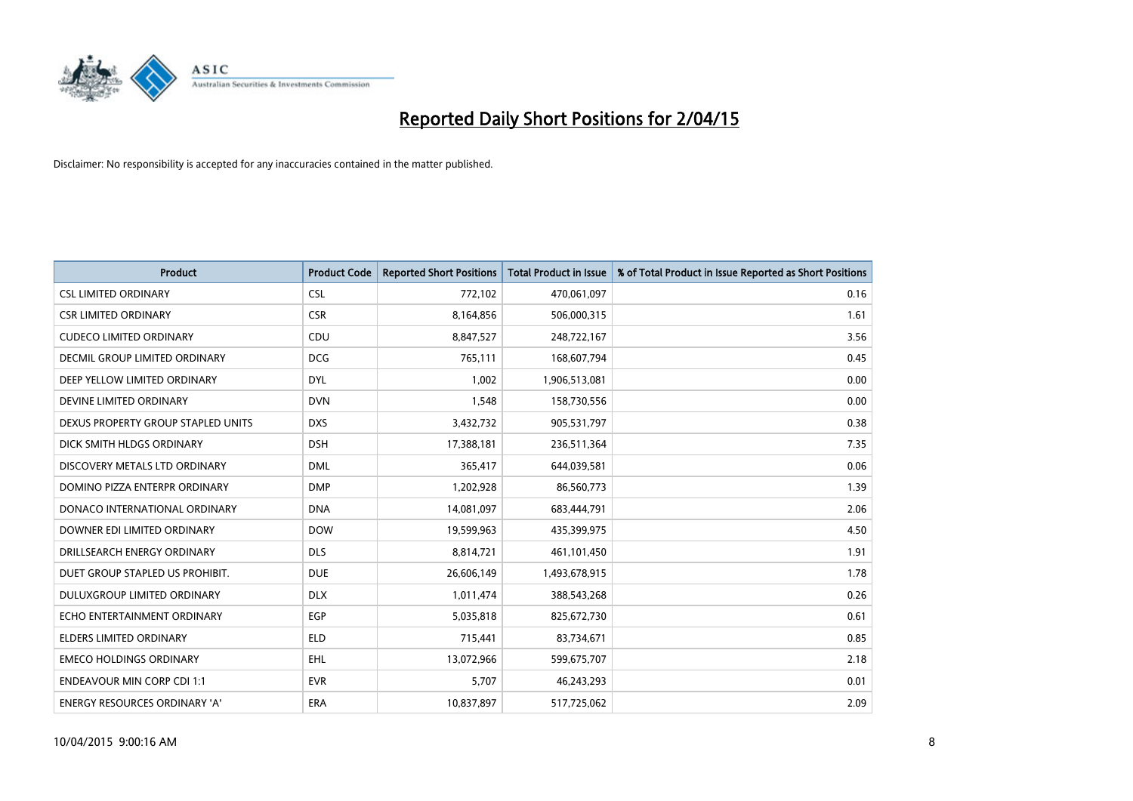

| <b>Product</b>                     | <b>Product Code</b> | <b>Reported Short Positions</b> | <b>Total Product in Issue</b> | % of Total Product in Issue Reported as Short Positions |
|------------------------------------|---------------------|---------------------------------|-------------------------------|---------------------------------------------------------|
| <b>CSL LIMITED ORDINARY</b>        | <b>CSL</b>          | 772,102                         | 470,061,097                   | 0.16                                                    |
| <b>CSR LIMITED ORDINARY</b>        | <b>CSR</b>          | 8,164,856                       | 506,000,315                   | 1.61                                                    |
| <b>CUDECO LIMITED ORDINARY</b>     | CDU                 | 8,847,527                       | 248,722,167                   | 3.56                                                    |
| DECMIL GROUP LIMITED ORDINARY      | <b>DCG</b>          | 765,111                         | 168,607,794                   | 0.45                                                    |
| DEEP YELLOW LIMITED ORDINARY       | <b>DYL</b>          | 1,002                           | 1,906,513,081                 | 0.00                                                    |
| DEVINE LIMITED ORDINARY            | <b>DVN</b>          | 1,548                           | 158,730,556                   | 0.00                                                    |
| DEXUS PROPERTY GROUP STAPLED UNITS | <b>DXS</b>          | 3,432,732                       | 905,531,797                   | 0.38                                                    |
| DICK SMITH HLDGS ORDINARY          | <b>DSH</b>          | 17,388,181                      | 236,511,364                   | 7.35                                                    |
| DISCOVERY METALS LTD ORDINARY      | <b>DML</b>          | 365,417                         | 644,039,581                   | 0.06                                                    |
| DOMINO PIZZA ENTERPR ORDINARY      | <b>DMP</b>          | 1,202,928                       | 86,560,773                    | 1.39                                                    |
| DONACO INTERNATIONAL ORDINARY      | <b>DNA</b>          | 14,081,097                      | 683,444,791                   | 2.06                                                    |
| DOWNER EDI LIMITED ORDINARY        | <b>DOW</b>          | 19,599,963                      | 435,399,975                   | 4.50                                                    |
| DRILLSEARCH ENERGY ORDINARY        | <b>DLS</b>          | 8,814,721                       | 461,101,450                   | 1.91                                                    |
| DUET GROUP STAPLED US PROHIBIT.    | <b>DUE</b>          | 26,606,149                      | 1,493,678,915                 | 1.78                                                    |
| DULUXGROUP LIMITED ORDINARY        | <b>DLX</b>          | 1,011,474                       | 388,543,268                   | 0.26                                                    |
| ECHO ENTERTAINMENT ORDINARY        | EGP                 | 5,035,818                       | 825,672,730                   | 0.61                                                    |
| ELDERS LIMITED ORDINARY            | <b>ELD</b>          | 715,441                         | 83,734,671                    | 0.85                                                    |
| <b>EMECO HOLDINGS ORDINARY</b>     | <b>EHL</b>          | 13,072,966                      | 599,675,707                   | 2.18                                                    |
| <b>ENDEAVOUR MIN CORP CDI 1:1</b>  | <b>EVR</b>          | 5,707                           | 46,243,293                    | 0.01                                                    |
| ENERGY RESOURCES ORDINARY 'A'      | ERA                 | 10,837,897                      | 517,725,062                   | 2.09                                                    |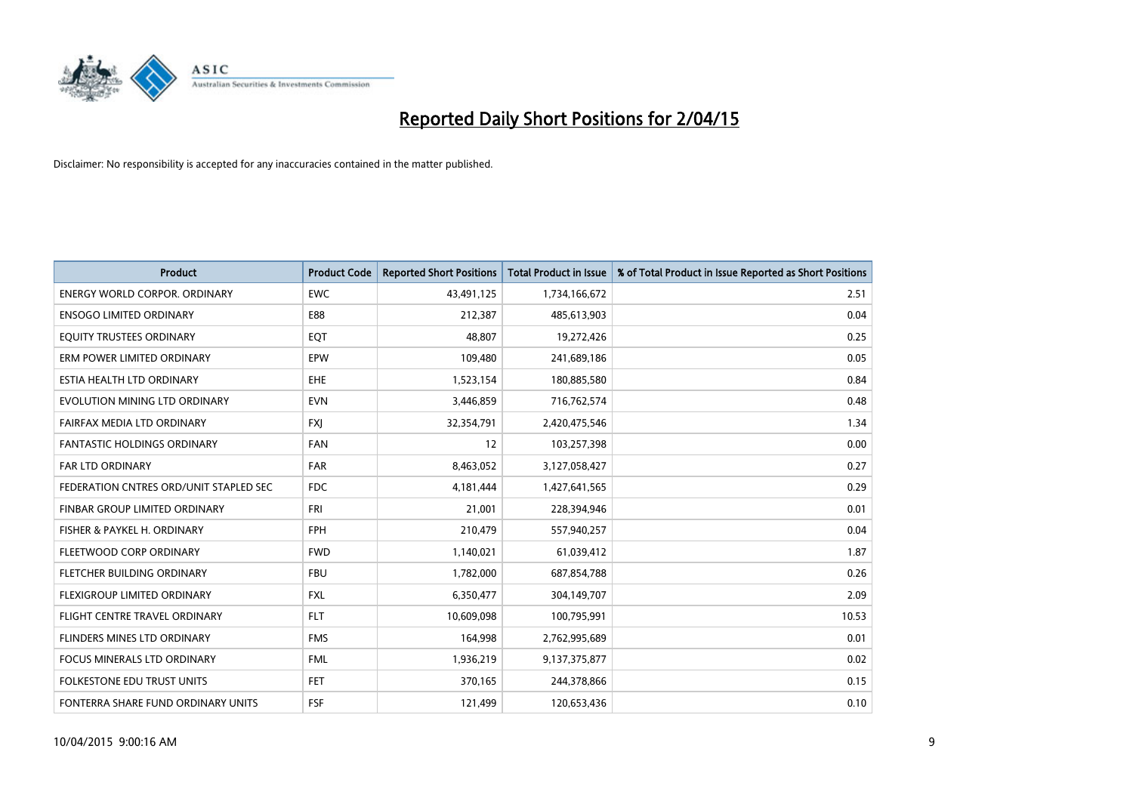

| <b>Product</b>                         | <b>Product Code</b> | <b>Reported Short Positions</b> | <b>Total Product in Issue</b> | % of Total Product in Issue Reported as Short Positions |
|----------------------------------------|---------------------|---------------------------------|-------------------------------|---------------------------------------------------------|
| <b>ENERGY WORLD CORPOR, ORDINARY</b>   | <b>EWC</b>          | 43,491,125                      | 1,734,166,672                 | 2.51                                                    |
| <b>ENSOGO LIMITED ORDINARY</b>         | E88                 | 212,387                         | 485,613,903                   | 0.04                                                    |
| EQUITY TRUSTEES ORDINARY               | EQT                 | 48,807                          | 19,272,426                    | 0.25                                                    |
| ERM POWER LIMITED ORDINARY             | EPW                 | 109,480                         | 241,689,186                   | 0.05                                                    |
| ESTIA HEALTH LTD ORDINARY              | <b>EHE</b>          | 1,523,154                       | 180,885,580                   | 0.84                                                    |
| EVOLUTION MINING LTD ORDINARY          | <b>EVN</b>          | 3,446,859                       | 716,762,574                   | 0.48                                                    |
| FAIRFAX MEDIA LTD ORDINARY             | <b>FXI</b>          | 32,354,791                      | 2,420,475,546                 | 1.34                                                    |
| FANTASTIC HOLDINGS ORDINARY            | <b>FAN</b>          | 12                              | 103,257,398                   | 0.00                                                    |
| <b>FAR LTD ORDINARY</b>                | <b>FAR</b>          | 8,463,052                       | 3,127,058,427                 | 0.27                                                    |
| FEDERATION CNTRES ORD/UNIT STAPLED SEC | FDC                 | 4,181,444                       | 1,427,641,565                 | 0.29                                                    |
| FINBAR GROUP LIMITED ORDINARY          | FRI                 | 21,001                          | 228,394,946                   | 0.01                                                    |
| FISHER & PAYKEL H. ORDINARY            | <b>FPH</b>          | 210,479                         | 557,940,257                   | 0.04                                                    |
| FLEETWOOD CORP ORDINARY                | <b>FWD</b>          | 1,140,021                       | 61,039,412                    | 1.87                                                    |
| FLETCHER BUILDING ORDINARY             | <b>FBU</b>          | 1,782,000                       | 687,854,788                   | 0.26                                                    |
| FLEXIGROUP LIMITED ORDINARY            | <b>FXL</b>          | 6,350,477                       | 304,149,707                   | 2.09                                                    |
| FLIGHT CENTRE TRAVEL ORDINARY          | <b>FLT</b>          | 10,609,098                      | 100,795,991                   | 10.53                                                   |
| FLINDERS MINES LTD ORDINARY            | <b>FMS</b>          | 164,998                         | 2,762,995,689                 | 0.01                                                    |
| <b>FOCUS MINERALS LTD ORDINARY</b>     | <b>FML</b>          | 1,936,219                       | 9,137,375,877                 | 0.02                                                    |
| FOLKESTONE EDU TRUST UNITS             | FET.                | 370,165                         | 244,378,866                   | 0.15                                                    |
| FONTERRA SHARE FUND ORDINARY UNITS     | FSF                 | 121,499                         | 120,653,436                   | 0.10                                                    |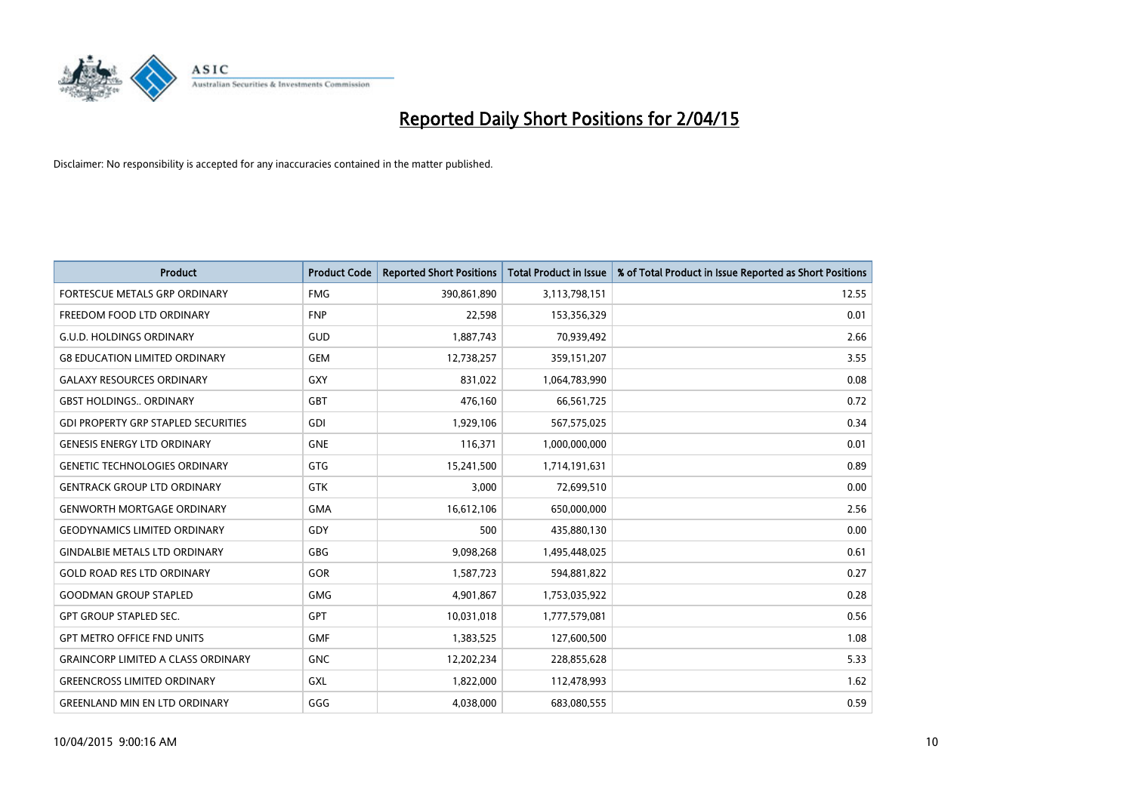

| <b>Product</b>                             | <b>Product Code</b> | <b>Reported Short Positions</b> | <b>Total Product in Issue</b> | % of Total Product in Issue Reported as Short Positions |
|--------------------------------------------|---------------------|---------------------------------|-------------------------------|---------------------------------------------------------|
| FORTESCUE METALS GRP ORDINARY              | <b>FMG</b>          | 390,861,890                     | 3,113,798,151                 | 12.55                                                   |
| FREEDOM FOOD LTD ORDINARY                  | <b>FNP</b>          | 22,598                          | 153,356,329                   | 0.01                                                    |
| <b>G.U.D. HOLDINGS ORDINARY</b>            | GUD                 | 1,887,743                       | 70,939,492                    | 2.66                                                    |
| <b>G8 EDUCATION LIMITED ORDINARY</b>       | <b>GEM</b>          | 12,738,257                      | 359,151,207                   | 3.55                                                    |
| <b>GALAXY RESOURCES ORDINARY</b>           | <b>GXY</b>          | 831,022                         | 1,064,783,990                 | 0.08                                                    |
| <b>GBST HOLDINGS., ORDINARY</b>            | <b>GBT</b>          | 476,160                         | 66,561,725                    | 0.72                                                    |
| <b>GDI PROPERTY GRP STAPLED SECURITIES</b> | <b>GDI</b>          | 1,929,106                       | 567,575,025                   | 0.34                                                    |
| <b>GENESIS ENERGY LTD ORDINARY</b>         | <b>GNE</b>          | 116,371                         | 1,000,000,000                 | 0.01                                                    |
| <b>GENETIC TECHNOLOGIES ORDINARY</b>       | <b>GTG</b>          | 15,241,500                      | 1,714,191,631                 | 0.89                                                    |
| <b>GENTRACK GROUP LTD ORDINARY</b>         | <b>GTK</b>          | 3,000                           | 72,699,510                    | 0.00                                                    |
| <b>GENWORTH MORTGAGE ORDINARY</b>          | <b>GMA</b>          | 16,612,106                      | 650,000,000                   | 2.56                                                    |
| <b>GEODYNAMICS LIMITED ORDINARY</b>        | GDY                 | 500                             | 435,880,130                   | 0.00                                                    |
| <b>GINDALBIE METALS LTD ORDINARY</b>       | GBG                 | 9,098,268                       | 1,495,448,025                 | 0.61                                                    |
| <b>GOLD ROAD RES LTD ORDINARY</b>          | GOR                 | 1,587,723                       | 594,881,822                   | 0.27                                                    |
| <b>GOODMAN GROUP STAPLED</b>               | <b>GMG</b>          | 4,901,867                       | 1,753,035,922                 | 0.28                                                    |
| <b>GPT GROUP STAPLED SEC.</b>              | GPT                 | 10,031,018                      | 1,777,579,081                 | 0.56                                                    |
| <b>GPT METRO OFFICE FND UNITS</b>          | <b>GMF</b>          | 1,383,525                       | 127,600,500                   | 1.08                                                    |
| <b>GRAINCORP LIMITED A CLASS ORDINARY</b>  | <b>GNC</b>          | 12,202,234                      | 228,855,628                   | 5.33                                                    |
| <b>GREENCROSS LIMITED ORDINARY</b>         | <b>GXL</b>          | 1,822,000                       | 112,478,993                   | 1.62                                                    |
| <b>GREENLAND MIN EN LTD ORDINARY</b>       | GGG                 | 4,038,000                       | 683,080,555                   | 0.59                                                    |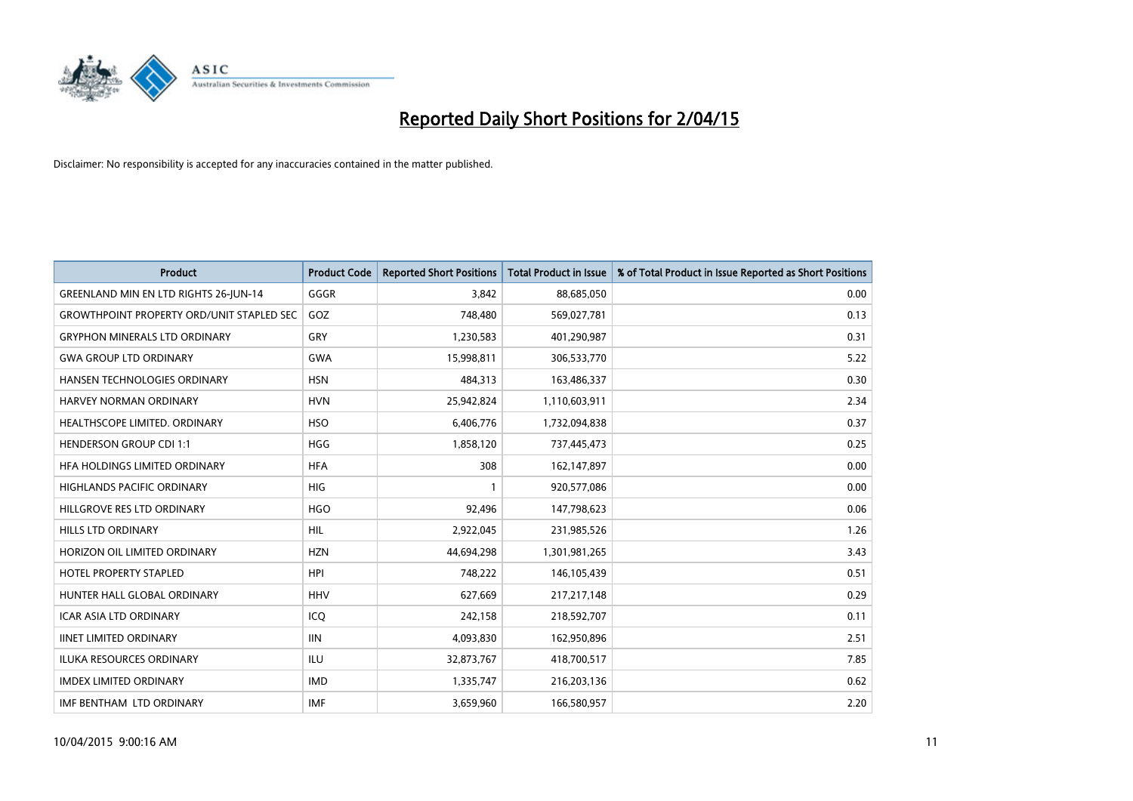

| <b>Product</b>                                   | <b>Product Code</b> | <b>Reported Short Positions</b> | <b>Total Product in Issue</b> | % of Total Product in Issue Reported as Short Positions |
|--------------------------------------------------|---------------------|---------------------------------|-------------------------------|---------------------------------------------------------|
| <b>GREENLAND MIN EN LTD RIGHTS 26-JUN-14</b>     | GGGR                | 3.842                           | 88,685,050                    | 0.00                                                    |
| <b>GROWTHPOINT PROPERTY ORD/UNIT STAPLED SEC</b> | GOZ                 | 748,480                         | 569,027,781                   | 0.13                                                    |
| <b>GRYPHON MINERALS LTD ORDINARY</b>             | GRY                 | 1,230,583                       | 401,290,987                   | 0.31                                                    |
| <b>GWA GROUP LTD ORDINARY</b>                    | <b>GWA</b>          | 15,998,811                      | 306,533,770                   | 5.22                                                    |
| HANSEN TECHNOLOGIES ORDINARY                     | <b>HSN</b>          | 484,313                         | 163,486,337                   | 0.30                                                    |
| HARVEY NORMAN ORDINARY                           | <b>HVN</b>          | 25,942,824                      | 1,110,603,911                 | 2.34                                                    |
| HEALTHSCOPE LIMITED. ORDINARY                    | <b>HSO</b>          | 6,406,776                       | 1,732,094,838                 | 0.37                                                    |
| <b>HENDERSON GROUP CDI 1:1</b>                   | <b>HGG</b>          | 1,858,120                       | 737,445,473                   | 0.25                                                    |
| HFA HOLDINGS LIMITED ORDINARY                    | <b>HFA</b>          | 308                             | 162,147,897                   | 0.00                                                    |
| <b>HIGHLANDS PACIFIC ORDINARY</b>                | <b>HIG</b>          | 1                               | 920,577,086                   | 0.00                                                    |
| HILLGROVE RES LTD ORDINARY                       | <b>HGO</b>          | 92,496                          | 147,798,623                   | 0.06                                                    |
| HILLS LTD ORDINARY                               | <b>HIL</b>          | 2,922,045                       | 231,985,526                   | 1.26                                                    |
| HORIZON OIL LIMITED ORDINARY                     | <b>HZN</b>          | 44,694,298                      | 1,301,981,265                 | 3.43                                                    |
| <b>HOTEL PROPERTY STAPLED</b>                    | <b>HPI</b>          | 748,222                         | 146,105,439                   | 0.51                                                    |
| HUNTER HALL GLOBAL ORDINARY                      | <b>HHV</b>          | 627,669                         | 217,217,148                   | 0.29                                                    |
| ICAR ASIA LTD ORDINARY                           | ICQ                 | 242,158                         | 218,592,707                   | 0.11                                                    |
| <b>IINET LIMITED ORDINARY</b>                    | <b>IIN</b>          | 4,093,830                       | 162,950,896                   | 2.51                                                    |
| ILUKA RESOURCES ORDINARY                         | <b>ILU</b>          | 32,873,767                      | 418,700,517                   | 7.85                                                    |
| <b>IMDEX LIMITED ORDINARY</b>                    | <b>IMD</b>          | 1,335,747                       | 216,203,136                   | 0.62                                                    |
| IMF BENTHAM LTD ORDINARY                         | <b>IMF</b>          | 3,659,960                       | 166,580,957                   | 2.20                                                    |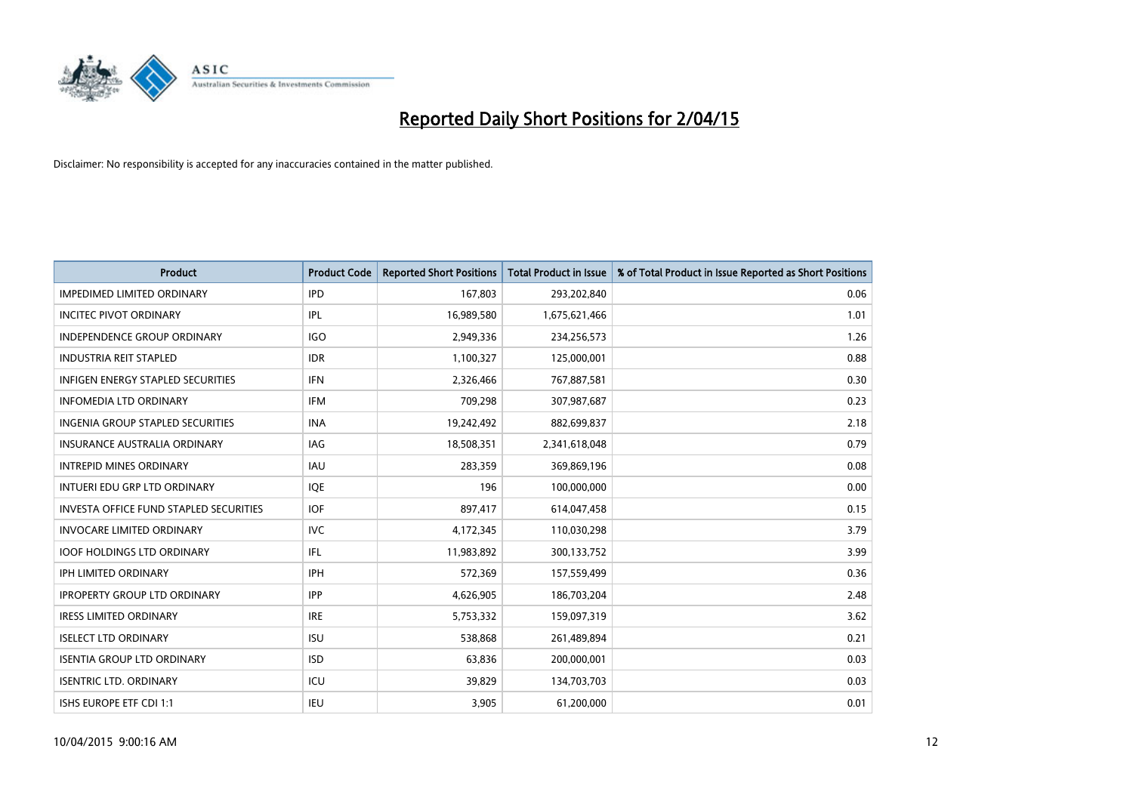

| <b>Product</b>                                | <b>Product Code</b> | <b>Reported Short Positions</b> | <b>Total Product in Issue</b> | % of Total Product in Issue Reported as Short Positions |
|-----------------------------------------------|---------------------|---------------------------------|-------------------------------|---------------------------------------------------------|
| <b>IMPEDIMED LIMITED ORDINARY</b>             | <b>IPD</b>          | 167,803                         | 293,202,840                   | 0.06                                                    |
| <b>INCITEC PIVOT ORDINARY</b>                 | IPL                 | 16,989,580                      | 1,675,621,466                 | 1.01                                                    |
| <b>INDEPENDENCE GROUP ORDINARY</b>            | <b>IGO</b>          | 2,949,336                       | 234,256,573                   | 1.26                                                    |
| <b>INDUSTRIA REIT STAPLED</b>                 | <b>IDR</b>          | 1,100,327                       | 125,000,001                   | 0.88                                                    |
| <b>INFIGEN ENERGY STAPLED SECURITIES</b>      | <b>IFN</b>          | 2,326,466                       | 767,887,581                   | 0.30                                                    |
| <b>INFOMEDIA LTD ORDINARY</b>                 | <b>IFM</b>          | 709,298                         | 307,987,687                   | 0.23                                                    |
| <b>INGENIA GROUP STAPLED SECURITIES</b>       | <b>INA</b>          | 19,242,492                      | 882,699,837                   | 2.18                                                    |
| <b>INSURANCE AUSTRALIA ORDINARY</b>           | IAG                 | 18,508,351                      | 2,341,618,048                 | 0.79                                                    |
| <b>INTREPID MINES ORDINARY</b>                | IAU                 | 283,359                         | 369,869,196                   | 0.08                                                    |
| INTUERI EDU GRP LTD ORDINARY                  | IQE                 | 196                             | 100,000,000                   | 0.00                                                    |
| <b>INVESTA OFFICE FUND STAPLED SECURITIES</b> | <b>IOF</b>          | 897,417                         | 614,047,458                   | 0.15                                                    |
| <b>INVOCARE LIMITED ORDINARY</b>              | <b>IVC</b>          | 4,172,345                       | 110,030,298                   | 3.79                                                    |
| <b>IOOF HOLDINGS LTD ORDINARY</b>             | IFL                 | 11,983,892                      | 300,133,752                   | 3.99                                                    |
| <b>IPH LIMITED ORDINARY</b>                   | <b>IPH</b>          | 572,369                         | 157,559,499                   | 0.36                                                    |
| <b>IPROPERTY GROUP LTD ORDINARY</b>           | <b>IPP</b>          | 4,626,905                       | 186,703,204                   | 2.48                                                    |
| <b>IRESS LIMITED ORDINARY</b>                 | <b>IRE</b>          | 5,753,332                       | 159,097,319                   | 3.62                                                    |
| <b>ISELECT LTD ORDINARY</b>                   | <b>ISU</b>          | 538,868                         | 261,489,894                   | 0.21                                                    |
| <b>ISENTIA GROUP LTD ORDINARY</b>             | <b>ISD</b>          | 63,836                          | 200,000,001                   | 0.03                                                    |
| <b>ISENTRIC LTD. ORDINARY</b>                 | ICU                 | 39,829                          | 134,703,703                   | 0.03                                                    |
| ISHS EUROPE ETF CDI 1:1                       | IEU                 | 3,905                           | 61,200,000                    | 0.01                                                    |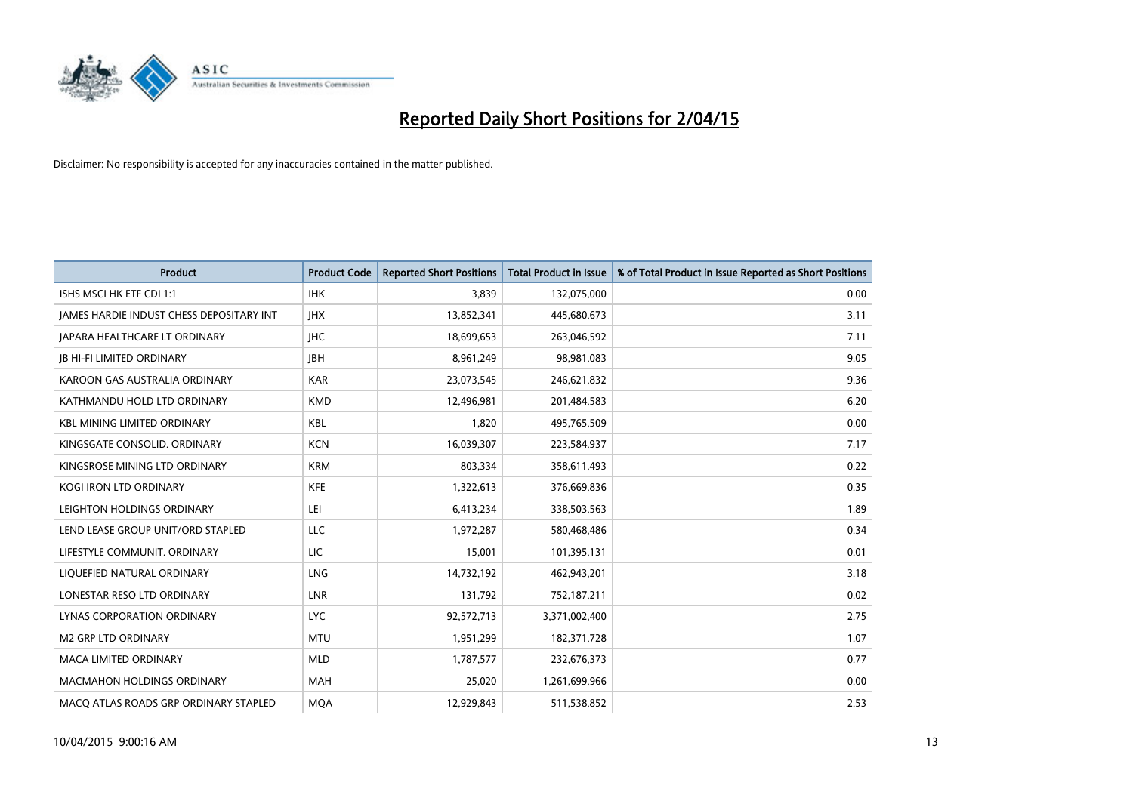

| <b>Product</b>                           | <b>Product Code</b> | <b>Reported Short Positions</b> | <b>Total Product in Issue</b> | % of Total Product in Issue Reported as Short Positions |
|------------------------------------------|---------------------|---------------------------------|-------------------------------|---------------------------------------------------------|
| ISHS MSCI HK ETF CDI 1:1                 | <b>IHK</b>          | 3,839                           | 132,075,000                   | 0.00                                                    |
| JAMES HARDIE INDUST CHESS DEPOSITARY INT | <b>IHX</b>          | 13,852,341                      | 445,680,673                   | 3.11                                                    |
| <b>JAPARA HEALTHCARE LT ORDINARY</b>     | <b>IHC</b>          | 18,699,653                      | 263,046,592                   | 7.11                                                    |
| <b>JB HI-FI LIMITED ORDINARY</b>         | <b>JBH</b>          | 8,961,249                       | 98,981,083                    | 9.05                                                    |
| KAROON GAS AUSTRALIA ORDINARY            | <b>KAR</b>          | 23,073,545                      | 246,621,832                   | 9.36                                                    |
| KATHMANDU HOLD LTD ORDINARY              | <b>KMD</b>          | 12,496,981                      | 201,484,583                   | 6.20                                                    |
| <b>KBL MINING LIMITED ORDINARY</b>       | <b>KBL</b>          | 1,820                           | 495,765,509                   | 0.00                                                    |
| KINGSGATE CONSOLID. ORDINARY             | <b>KCN</b>          | 16,039,307                      | 223,584,937                   | 7.17                                                    |
| KINGSROSE MINING LTD ORDINARY            | <b>KRM</b>          | 803,334                         | 358,611,493                   | 0.22                                                    |
| <b>KOGI IRON LTD ORDINARY</b>            | <b>KFE</b>          | 1,322,613                       | 376,669,836                   | 0.35                                                    |
| LEIGHTON HOLDINGS ORDINARY               | LEI                 | 6,413,234                       | 338,503,563                   | 1.89                                                    |
| LEND LEASE GROUP UNIT/ORD STAPLED        | LLC                 | 1,972,287                       | 580,468,486                   | 0.34                                                    |
| LIFESTYLE COMMUNIT. ORDINARY             | <b>LIC</b>          | 15,001                          | 101,395,131                   | 0.01                                                    |
| LIQUEFIED NATURAL ORDINARY               | <b>LNG</b>          | 14,732,192                      | 462,943,201                   | 3.18                                                    |
| LONESTAR RESO LTD ORDINARY               | <b>LNR</b>          | 131,792                         | 752,187,211                   | 0.02                                                    |
| LYNAS CORPORATION ORDINARY               | <b>LYC</b>          | 92,572,713                      | 3,371,002,400                 | 2.75                                                    |
| <b>M2 GRP LTD ORDINARY</b>               | <b>MTU</b>          | 1,951,299                       | 182,371,728                   | 1.07                                                    |
| <b>MACA LIMITED ORDINARY</b>             | <b>MLD</b>          | 1,787,577                       | 232,676,373                   | 0.77                                                    |
| <b>MACMAHON HOLDINGS ORDINARY</b>        | <b>MAH</b>          | 25,020                          | 1,261,699,966                 | 0.00                                                    |
| MACO ATLAS ROADS GRP ORDINARY STAPLED    | <b>MOA</b>          | 12,929,843                      | 511,538,852                   | 2.53                                                    |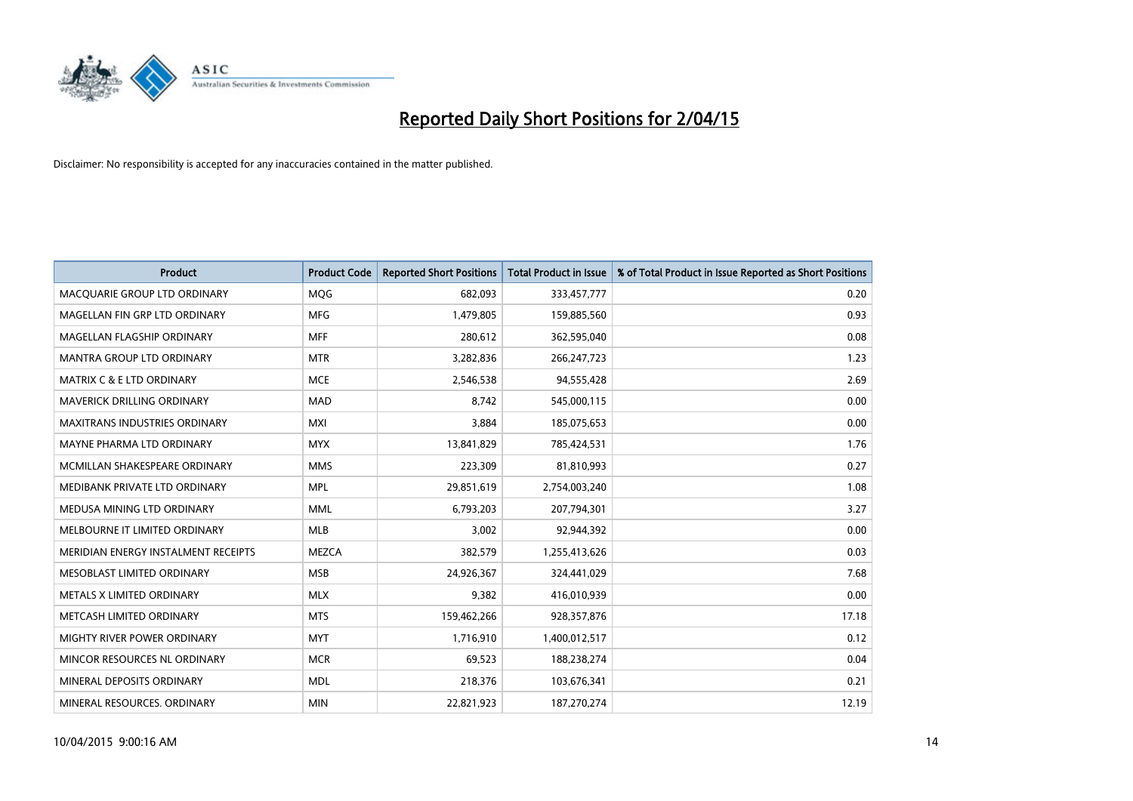

| <b>Product</b>                       | <b>Product Code</b> | <b>Reported Short Positions</b> | <b>Total Product in Issue</b> | % of Total Product in Issue Reported as Short Positions |
|--------------------------------------|---------------------|---------------------------------|-------------------------------|---------------------------------------------------------|
| MACQUARIE GROUP LTD ORDINARY         | MQG                 | 682,093                         | 333,457,777                   | 0.20                                                    |
| MAGELLAN FIN GRP LTD ORDINARY        | MFG                 | 1,479,805                       | 159,885,560                   | 0.93                                                    |
| MAGELLAN FLAGSHIP ORDINARY           | <b>MFF</b>          | 280,612                         | 362,595,040                   | 0.08                                                    |
| MANTRA GROUP LTD ORDINARY            | <b>MTR</b>          | 3,282,836                       | 266,247,723                   | 1.23                                                    |
| <b>MATRIX C &amp; E LTD ORDINARY</b> | <b>MCE</b>          | 2,546,538                       | 94,555,428                    | 2.69                                                    |
| <b>MAVERICK DRILLING ORDINARY</b>    | <b>MAD</b>          | 8,742                           | 545,000,115                   | 0.00                                                    |
| <b>MAXITRANS INDUSTRIES ORDINARY</b> | <b>MXI</b>          | 3,884                           | 185,075,653                   | 0.00                                                    |
| MAYNE PHARMA LTD ORDINARY            | <b>MYX</b>          | 13,841,829                      | 785,424,531                   | 1.76                                                    |
| MCMILLAN SHAKESPEARE ORDINARY        | <b>MMS</b>          | 223,309                         | 81,810,993                    | 0.27                                                    |
| MEDIBANK PRIVATE LTD ORDINARY        | <b>MPL</b>          | 29,851,619                      | 2,754,003,240                 | 1.08                                                    |
| MEDUSA MINING LTD ORDINARY           | <b>MML</b>          | 6,793,203                       | 207,794,301                   | 3.27                                                    |
| MELBOURNE IT LIMITED ORDINARY        | <b>MLB</b>          | 3,002                           | 92,944,392                    | 0.00                                                    |
| MERIDIAN ENERGY INSTALMENT RECEIPTS  | <b>MEZCA</b>        | 382,579                         | 1,255,413,626                 | 0.03                                                    |
| MESOBLAST LIMITED ORDINARY           | <b>MSB</b>          | 24,926,367                      | 324,441,029                   | 7.68                                                    |
| METALS X LIMITED ORDINARY            | <b>MLX</b>          | 9,382                           | 416,010,939                   | 0.00                                                    |
| METCASH LIMITED ORDINARY             | <b>MTS</b>          | 159,462,266                     | 928,357,876                   | 17.18                                                   |
| MIGHTY RIVER POWER ORDINARY          | <b>MYT</b>          | 1,716,910                       | 1,400,012,517                 | 0.12                                                    |
| MINCOR RESOURCES NL ORDINARY         | <b>MCR</b>          | 69,523                          | 188,238,274                   | 0.04                                                    |
| MINERAL DEPOSITS ORDINARY            | <b>MDL</b>          | 218,376                         | 103,676,341                   | 0.21                                                    |
| MINERAL RESOURCES. ORDINARY          | <b>MIN</b>          | 22,821,923                      | 187,270,274                   | 12.19                                                   |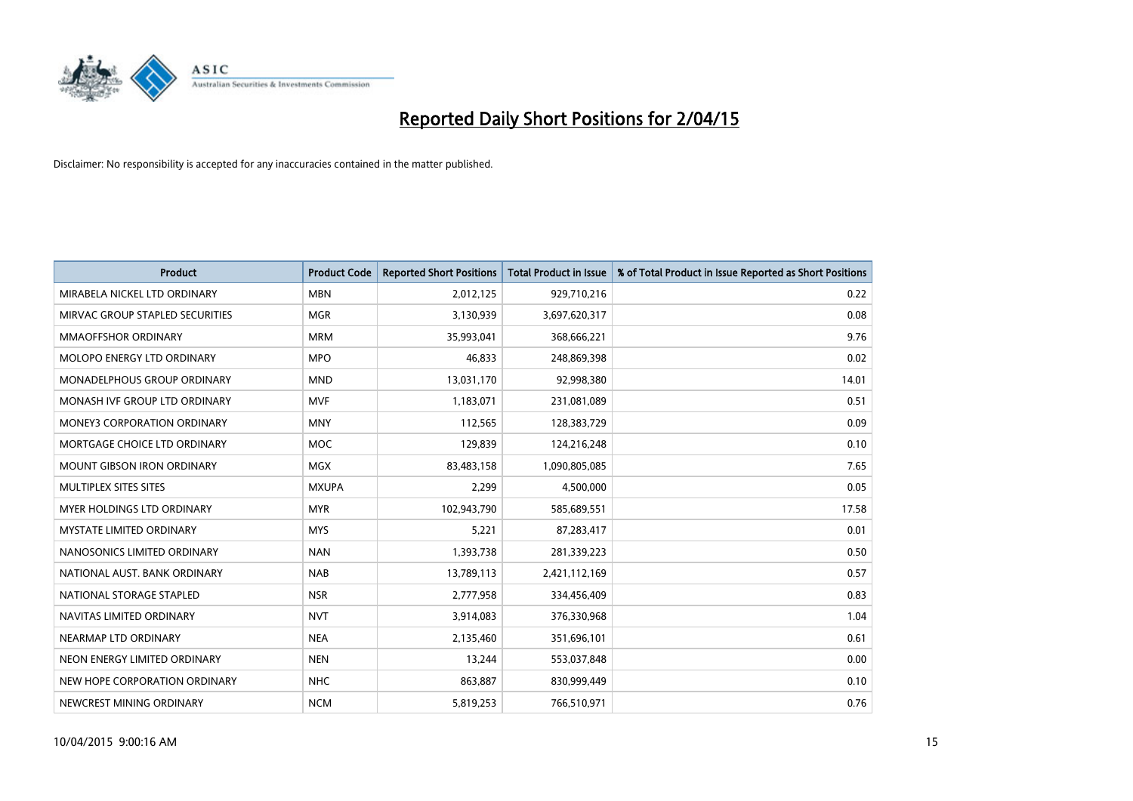

| <b>Product</b>                    | <b>Product Code</b> | <b>Reported Short Positions</b> | <b>Total Product in Issue</b> | % of Total Product in Issue Reported as Short Positions |
|-----------------------------------|---------------------|---------------------------------|-------------------------------|---------------------------------------------------------|
| MIRABELA NICKEL LTD ORDINARY      | <b>MBN</b>          | 2,012,125                       | 929,710,216                   | 0.22                                                    |
| MIRVAC GROUP STAPLED SECURITIES   | <b>MGR</b>          | 3,130,939                       | 3,697,620,317                 | 0.08                                                    |
| <b>MMAOFFSHOR ORDINARY</b>        | <b>MRM</b>          | 35,993,041                      | 368,666,221                   | 9.76                                                    |
| MOLOPO ENERGY LTD ORDINARY        | <b>MPO</b>          | 46,833                          | 248,869,398                   | 0.02                                                    |
| MONADELPHOUS GROUP ORDINARY       | <b>MND</b>          | 13,031,170                      | 92,998,380                    | 14.01                                                   |
| MONASH IVF GROUP LTD ORDINARY     | <b>MVF</b>          | 1,183,071                       | 231,081,089                   | 0.51                                                    |
| MONEY3 CORPORATION ORDINARY       | <b>MNY</b>          | 112,565                         | 128,383,729                   | 0.09                                                    |
| MORTGAGE CHOICE LTD ORDINARY      | MOC                 | 129,839                         | 124,216,248                   | 0.10                                                    |
| <b>MOUNT GIBSON IRON ORDINARY</b> | <b>MGX</b>          | 83,483,158                      | 1,090,805,085                 | 7.65                                                    |
| MULTIPLEX SITES SITES             | <b>MXUPA</b>        | 2,299                           | 4,500,000                     | 0.05                                                    |
| MYER HOLDINGS LTD ORDINARY        | <b>MYR</b>          | 102,943,790                     | 585,689,551                   | 17.58                                                   |
| <b>MYSTATE LIMITED ORDINARY</b>   | <b>MYS</b>          | 5,221                           | 87,283,417                    | 0.01                                                    |
| NANOSONICS LIMITED ORDINARY       | <b>NAN</b>          | 1,393,738                       | 281,339,223                   | 0.50                                                    |
| NATIONAL AUST. BANK ORDINARY      | <b>NAB</b>          | 13,789,113                      | 2,421,112,169                 | 0.57                                                    |
| NATIONAL STORAGE STAPLED          | <b>NSR</b>          | 2,777,958                       | 334,456,409                   | 0.83                                                    |
| NAVITAS LIMITED ORDINARY          | <b>NVT</b>          | 3,914,083                       | 376,330,968                   | 1.04                                                    |
| NEARMAP LTD ORDINARY              | <b>NEA</b>          | 2,135,460                       | 351,696,101                   | 0.61                                                    |
| NEON ENERGY LIMITED ORDINARY      | <b>NEN</b>          | 13,244                          | 553,037,848                   | 0.00                                                    |
| NEW HOPE CORPORATION ORDINARY     | <b>NHC</b>          | 863,887                         | 830,999,449                   | 0.10                                                    |
| NEWCREST MINING ORDINARY          | <b>NCM</b>          | 5,819,253                       | 766,510,971                   | 0.76                                                    |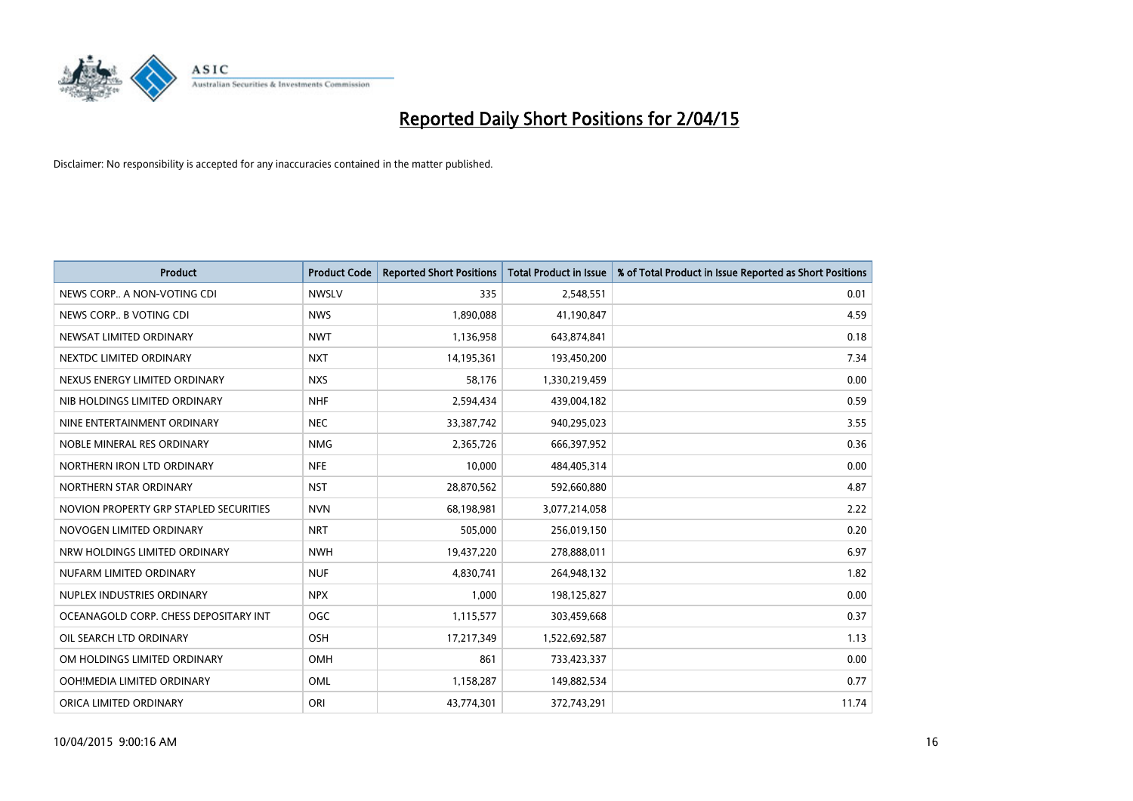

| <b>Product</b>                         | <b>Product Code</b> | <b>Reported Short Positions</b> | <b>Total Product in Issue</b> | % of Total Product in Issue Reported as Short Positions |
|----------------------------------------|---------------------|---------------------------------|-------------------------------|---------------------------------------------------------|
| NEWS CORP A NON-VOTING CDI             | <b>NWSLV</b>        | 335                             | 2,548,551                     | 0.01                                                    |
| NEWS CORP B VOTING CDI                 | <b>NWS</b>          | 1,890,088                       | 41,190,847                    | 4.59                                                    |
| NEWSAT LIMITED ORDINARY                | <b>NWT</b>          | 1,136,958                       | 643,874,841                   | 0.18                                                    |
| NEXTDC LIMITED ORDINARY                | <b>NXT</b>          | 14,195,361                      | 193,450,200                   | 7.34                                                    |
| NEXUS ENERGY LIMITED ORDINARY          | <b>NXS</b>          | 58,176                          | 1,330,219,459                 | 0.00                                                    |
| NIB HOLDINGS LIMITED ORDINARY          | <b>NHF</b>          | 2,594,434                       | 439,004,182                   | 0.59                                                    |
| NINE ENTERTAINMENT ORDINARY            | <b>NEC</b>          | 33,387,742                      | 940,295,023                   | 3.55                                                    |
| NOBLE MINERAL RES ORDINARY             | <b>NMG</b>          | 2,365,726                       | 666,397,952                   | 0.36                                                    |
| NORTHERN IRON LTD ORDINARY             | <b>NFE</b>          | 10,000                          | 484,405,314                   | 0.00                                                    |
| NORTHERN STAR ORDINARY                 | <b>NST</b>          | 28,870,562                      | 592,660,880                   | 4.87                                                    |
| NOVION PROPERTY GRP STAPLED SECURITIES | <b>NVN</b>          | 68,198,981                      | 3,077,214,058                 | 2.22                                                    |
| NOVOGEN LIMITED ORDINARY               | <b>NRT</b>          | 505,000                         | 256,019,150                   | 0.20                                                    |
| NRW HOLDINGS LIMITED ORDINARY          | <b>NWH</b>          | 19,437,220                      | 278,888,011                   | 6.97                                                    |
| NUFARM LIMITED ORDINARY                | <b>NUF</b>          | 4,830,741                       | 264,948,132                   | 1.82                                                    |
| NUPLEX INDUSTRIES ORDINARY             | <b>NPX</b>          | 1,000                           | 198,125,827                   | 0.00                                                    |
| OCEANAGOLD CORP. CHESS DEPOSITARY INT  | <b>OGC</b>          | 1,115,577                       | 303,459,668                   | 0.37                                                    |
| OIL SEARCH LTD ORDINARY                | <b>OSH</b>          | 17,217,349                      | 1,522,692,587                 | 1.13                                                    |
| OM HOLDINGS LIMITED ORDINARY           | OMH                 | 861                             | 733,423,337                   | 0.00                                                    |
| OOH!MEDIA LIMITED ORDINARY             | <b>OML</b>          | 1,158,287                       | 149,882,534                   | 0.77                                                    |
| ORICA LIMITED ORDINARY                 | ORI                 | 43,774,301                      | 372,743,291                   | 11.74                                                   |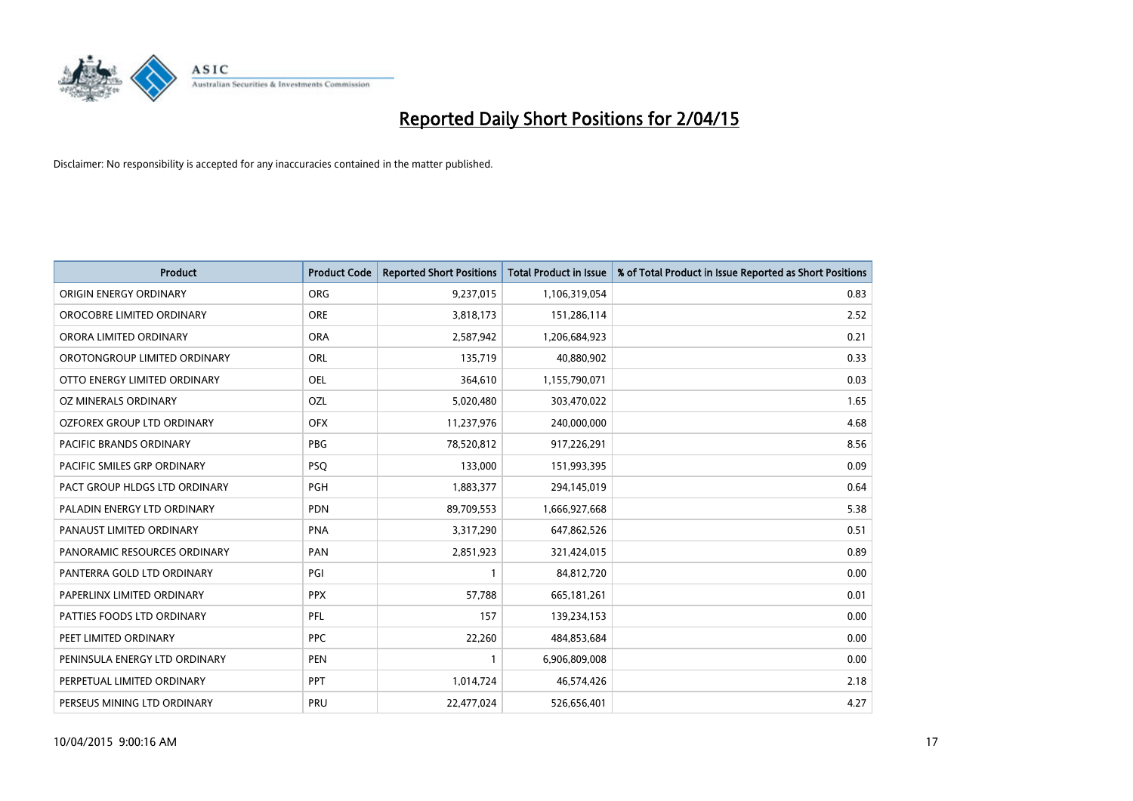

| <b>Product</b>                | <b>Product Code</b> | <b>Reported Short Positions</b> | <b>Total Product in Issue</b> | % of Total Product in Issue Reported as Short Positions |
|-------------------------------|---------------------|---------------------------------|-------------------------------|---------------------------------------------------------|
| ORIGIN ENERGY ORDINARY        | <b>ORG</b>          | 9,237,015                       | 1,106,319,054                 | 0.83                                                    |
| OROCOBRE LIMITED ORDINARY     | <b>ORE</b>          | 3,818,173                       | 151,286,114                   | 2.52                                                    |
| ORORA LIMITED ORDINARY        | <b>ORA</b>          | 2,587,942                       | 1,206,684,923                 | 0.21                                                    |
| OROTONGROUP LIMITED ORDINARY  | <b>ORL</b>          | 135,719                         | 40,880,902                    | 0.33                                                    |
| OTTO ENERGY LIMITED ORDINARY  | <b>OEL</b>          | 364,610                         | 1,155,790,071                 | 0.03                                                    |
| <b>OZ MINERALS ORDINARY</b>   | <b>OZL</b>          | 5,020,480                       | 303,470,022                   | 1.65                                                    |
| OZFOREX GROUP LTD ORDINARY    | <b>OFX</b>          | 11,237,976                      | 240,000,000                   | 4.68                                                    |
| PACIFIC BRANDS ORDINARY       | <b>PBG</b>          | 78,520,812                      | 917,226,291                   | 8.56                                                    |
| PACIFIC SMILES GRP ORDINARY   | <b>PSQ</b>          | 133,000                         | 151,993,395                   | 0.09                                                    |
| PACT GROUP HLDGS LTD ORDINARY | <b>PGH</b>          | 1,883,377                       | 294,145,019                   | 0.64                                                    |
| PALADIN ENERGY LTD ORDINARY   | <b>PDN</b>          | 89,709,553                      | 1,666,927,668                 | 5.38                                                    |
| PANAUST LIMITED ORDINARY      | <b>PNA</b>          | 3,317,290                       | 647,862,526                   | 0.51                                                    |
| PANORAMIC RESOURCES ORDINARY  | PAN                 | 2,851,923                       | 321,424,015                   | 0.89                                                    |
| PANTERRA GOLD LTD ORDINARY    | PGI                 | $\mathbf{1}$                    | 84,812,720                    | 0.00                                                    |
| PAPERLINX LIMITED ORDINARY    | <b>PPX</b>          | 57,788                          | 665, 181, 261                 | 0.01                                                    |
| PATTIES FOODS LTD ORDINARY    | PFL                 | 157                             | 139,234,153                   | 0.00                                                    |
| PEET LIMITED ORDINARY         | <b>PPC</b>          | 22,260                          | 484,853,684                   | 0.00                                                    |
| PENINSULA ENERGY LTD ORDINARY | <b>PEN</b>          | $\mathbf{1}$                    | 6,906,809,008                 | 0.00                                                    |
| PERPETUAL LIMITED ORDINARY    | <b>PPT</b>          | 1,014,724                       | 46,574,426                    | 2.18                                                    |
| PERSEUS MINING LTD ORDINARY   | PRU                 | 22,477,024                      | 526,656,401                   | 4.27                                                    |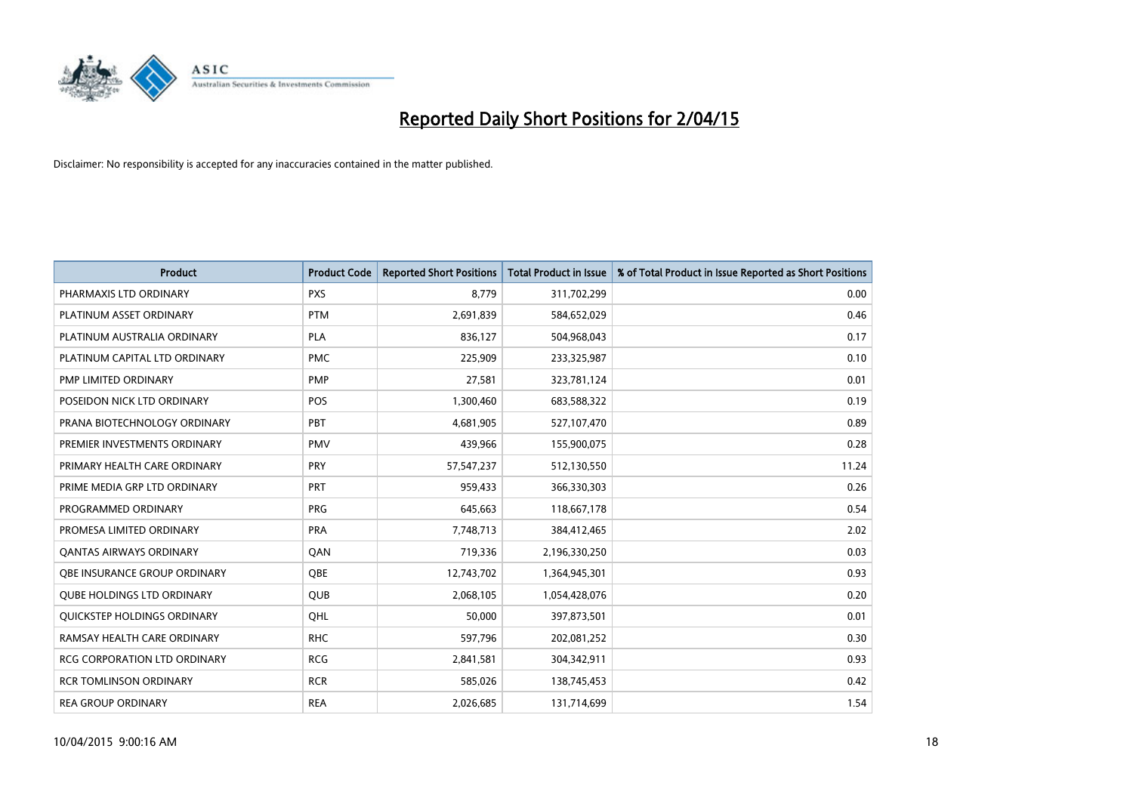

| <b>Product</b>                    | <b>Product Code</b> | <b>Reported Short Positions</b> | <b>Total Product in Issue</b> | % of Total Product in Issue Reported as Short Positions |
|-----------------------------------|---------------------|---------------------------------|-------------------------------|---------------------------------------------------------|
| PHARMAXIS LTD ORDINARY            | <b>PXS</b>          | 8,779                           | 311,702,299                   | 0.00                                                    |
| PLATINUM ASSET ORDINARY           | <b>PTM</b>          | 2,691,839                       | 584,652,029                   | 0.46                                                    |
| PLATINUM AUSTRALIA ORDINARY       | <b>PLA</b>          | 836,127                         | 504,968,043                   | 0.17                                                    |
| PLATINUM CAPITAL LTD ORDINARY     | <b>PMC</b>          | 225,909                         | 233,325,987                   | 0.10                                                    |
| PMP LIMITED ORDINARY              | <b>PMP</b>          | 27,581                          | 323,781,124                   | 0.01                                                    |
| POSEIDON NICK LTD ORDINARY        | <b>POS</b>          | 1,300,460                       | 683,588,322                   | 0.19                                                    |
| PRANA BIOTECHNOLOGY ORDINARY      | <b>PBT</b>          | 4,681,905                       | 527,107,470                   | 0.89                                                    |
| PREMIER INVESTMENTS ORDINARY      | <b>PMV</b>          | 439,966                         | 155,900,075                   | 0.28                                                    |
| PRIMARY HEALTH CARE ORDINARY      | <b>PRY</b>          | 57, 547, 237                    | 512,130,550                   | 11.24                                                   |
| PRIME MEDIA GRP LTD ORDINARY      | <b>PRT</b>          | 959,433                         | 366,330,303                   | 0.26                                                    |
| PROGRAMMED ORDINARY               | <b>PRG</b>          | 645,663                         | 118,667,178                   | 0.54                                                    |
| PROMESA LIMITED ORDINARY          | <b>PRA</b>          | 7,748,713                       | 384,412,465                   | 2.02                                                    |
| <b>QANTAS AIRWAYS ORDINARY</b>    | QAN                 | 719,336                         | 2,196,330,250                 | 0.03                                                    |
| OBE INSURANCE GROUP ORDINARY      | <b>OBE</b>          | 12,743,702                      | 1,364,945,301                 | 0.93                                                    |
| <b>QUBE HOLDINGS LTD ORDINARY</b> | <b>QUB</b>          | 2,068,105                       | 1,054,428,076                 | 0.20                                                    |
| QUICKSTEP HOLDINGS ORDINARY       | OHL                 | 50,000                          | 397,873,501                   | 0.01                                                    |
| RAMSAY HEALTH CARE ORDINARY       | <b>RHC</b>          | 597,796                         | 202,081,252                   | 0.30                                                    |
| RCG CORPORATION LTD ORDINARY      | <b>RCG</b>          | 2,841,581                       | 304,342,911                   | 0.93                                                    |
| <b>RCR TOMLINSON ORDINARY</b>     | <b>RCR</b>          | 585,026                         | 138,745,453                   | 0.42                                                    |
| <b>REA GROUP ORDINARY</b>         | <b>REA</b>          | 2,026,685                       | 131,714,699                   | 1.54                                                    |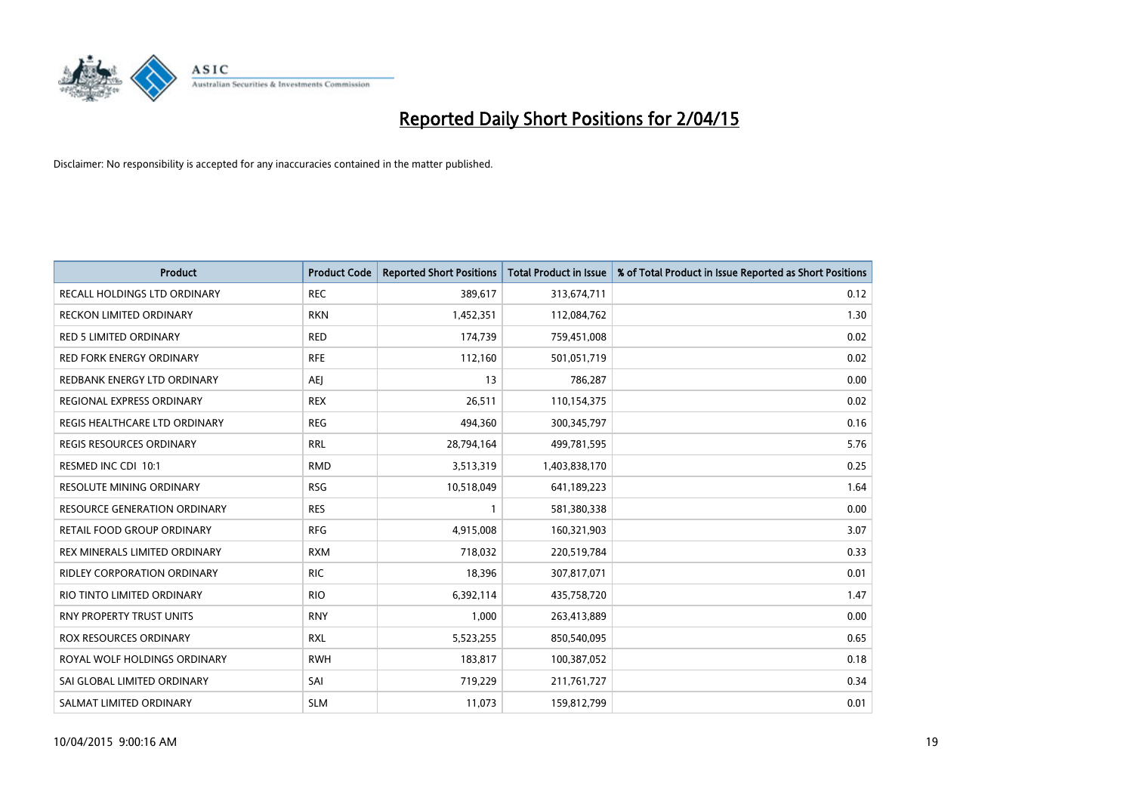

| <b>Product</b>                      | <b>Product Code</b> | <b>Reported Short Positions</b> | <b>Total Product in Issue</b> | % of Total Product in Issue Reported as Short Positions |
|-------------------------------------|---------------------|---------------------------------|-------------------------------|---------------------------------------------------------|
| <b>RECALL HOLDINGS LTD ORDINARY</b> | <b>REC</b>          | 389,617                         | 313,674,711                   | 0.12                                                    |
| RECKON LIMITED ORDINARY             | <b>RKN</b>          | 1,452,351                       | 112,084,762                   | 1.30                                                    |
| RED 5 LIMITED ORDINARY              | <b>RED</b>          | 174,739                         | 759,451,008                   | 0.02                                                    |
| <b>RED FORK ENERGY ORDINARY</b>     | <b>RFE</b>          | 112,160                         | 501,051,719                   | 0.02                                                    |
| REDBANK ENERGY LTD ORDINARY         | <b>AEJ</b>          | 13                              | 786,287                       | 0.00                                                    |
| REGIONAL EXPRESS ORDINARY           | <b>REX</b>          | 26,511                          | 110,154,375                   | 0.02                                                    |
| REGIS HEALTHCARE LTD ORDINARY       | <b>REG</b>          | 494,360                         | 300, 345, 797                 | 0.16                                                    |
| <b>REGIS RESOURCES ORDINARY</b>     | <b>RRL</b>          | 28,794,164                      | 499,781,595                   | 5.76                                                    |
| RESMED INC CDI 10:1                 | <b>RMD</b>          | 3,513,319                       | 1,403,838,170                 | 0.25                                                    |
| <b>RESOLUTE MINING ORDINARY</b>     | <b>RSG</b>          | 10,518,049                      | 641,189,223                   | 1.64                                                    |
| RESOURCE GENERATION ORDINARY        | <b>RES</b>          | 1                               | 581,380,338                   | 0.00                                                    |
| RETAIL FOOD GROUP ORDINARY          | <b>RFG</b>          | 4,915,008                       | 160,321,903                   | 3.07                                                    |
| REX MINERALS LIMITED ORDINARY       | <b>RXM</b>          | 718,032                         | 220,519,784                   | 0.33                                                    |
| <b>RIDLEY CORPORATION ORDINARY</b>  | <b>RIC</b>          | 18,396                          | 307,817,071                   | 0.01                                                    |
| RIO TINTO LIMITED ORDINARY          | <b>RIO</b>          | 6,392,114                       | 435,758,720                   | 1.47                                                    |
| RNY PROPERTY TRUST UNITS            | <b>RNY</b>          | 1,000                           | 263,413,889                   | 0.00                                                    |
| ROX RESOURCES ORDINARY              | <b>RXL</b>          | 5,523,255                       | 850,540,095                   | 0.65                                                    |
| ROYAL WOLF HOLDINGS ORDINARY        | <b>RWH</b>          | 183,817                         | 100,387,052                   | 0.18                                                    |
| SAI GLOBAL LIMITED ORDINARY         | SAI                 | 719,229                         | 211,761,727                   | 0.34                                                    |
| SALMAT LIMITED ORDINARY             | <b>SLM</b>          | 11,073                          | 159,812,799                   | 0.01                                                    |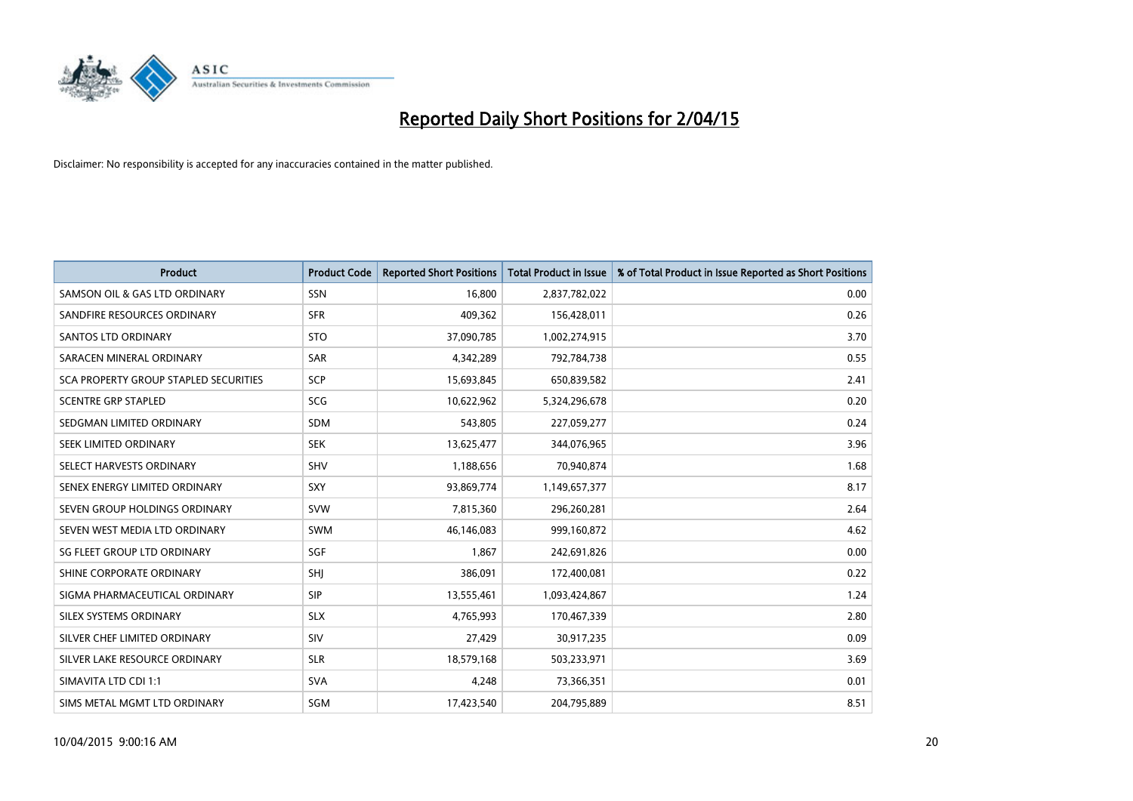

| <b>Product</b>                               | <b>Product Code</b> | <b>Reported Short Positions</b> | <b>Total Product in Issue</b> | % of Total Product in Issue Reported as Short Positions |
|----------------------------------------------|---------------------|---------------------------------|-------------------------------|---------------------------------------------------------|
| SAMSON OIL & GAS LTD ORDINARY                | SSN                 | 16,800                          | 2,837,782,022                 | 0.00                                                    |
| SANDFIRE RESOURCES ORDINARY                  | <b>SFR</b>          | 409,362                         | 156,428,011                   | 0.26                                                    |
| <b>SANTOS LTD ORDINARY</b>                   | <b>STO</b>          | 37,090,785                      | 1,002,274,915                 | 3.70                                                    |
| SARACEN MINERAL ORDINARY                     | SAR                 | 4,342,289                       | 792,784,738                   | 0.55                                                    |
| <b>SCA PROPERTY GROUP STAPLED SECURITIES</b> | <b>SCP</b>          | 15,693,845                      | 650,839,582                   | 2.41                                                    |
| <b>SCENTRE GRP STAPLED</b>                   | <b>SCG</b>          | 10,622,962                      | 5,324,296,678                 | 0.20                                                    |
| SEDGMAN LIMITED ORDINARY                     | SDM                 | 543,805                         | 227,059,277                   | 0.24                                                    |
| SEEK LIMITED ORDINARY                        | <b>SEK</b>          | 13,625,477                      | 344,076,965                   | 3.96                                                    |
| SELECT HARVESTS ORDINARY                     | SHV                 | 1,188,656                       | 70,940,874                    | 1.68                                                    |
| SENEX ENERGY LIMITED ORDINARY                | <b>SXY</b>          | 93,869,774                      | 1,149,657,377                 | 8.17                                                    |
| SEVEN GROUP HOLDINGS ORDINARY                | <b>SVW</b>          | 7,815,360                       | 296,260,281                   | 2.64                                                    |
| SEVEN WEST MEDIA LTD ORDINARY                | SWM                 | 46,146,083                      | 999,160,872                   | 4.62                                                    |
| SG FLEET GROUP LTD ORDINARY                  | SGF                 | 1,867                           | 242,691,826                   | 0.00                                                    |
| SHINE CORPORATE ORDINARY                     | SHJ                 | 386,091                         | 172,400,081                   | 0.22                                                    |
| SIGMA PHARMACEUTICAL ORDINARY                | <b>SIP</b>          | 13,555,461                      | 1,093,424,867                 | 1.24                                                    |
| SILEX SYSTEMS ORDINARY                       | <b>SLX</b>          | 4,765,993                       | 170,467,339                   | 2.80                                                    |
| SILVER CHEF LIMITED ORDINARY                 | SIV                 | 27,429                          | 30,917,235                    | 0.09                                                    |
| SILVER LAKE RESOURCE ORDINARY                | <b>SLR</b>          | 18,579,168                      | 503,233,971                   | 3.69                                                    |
| SIMAVITA LTD CDI 1:1                         | <b>SVA</b>          | 4,248                           | 73,366,351                    | 0.01                                                    |
| SIMS METAL MGMT LTD ORDINARY                 | SGM                 | 17,423,540                      | 204,795,889                   | 8.51                                                    |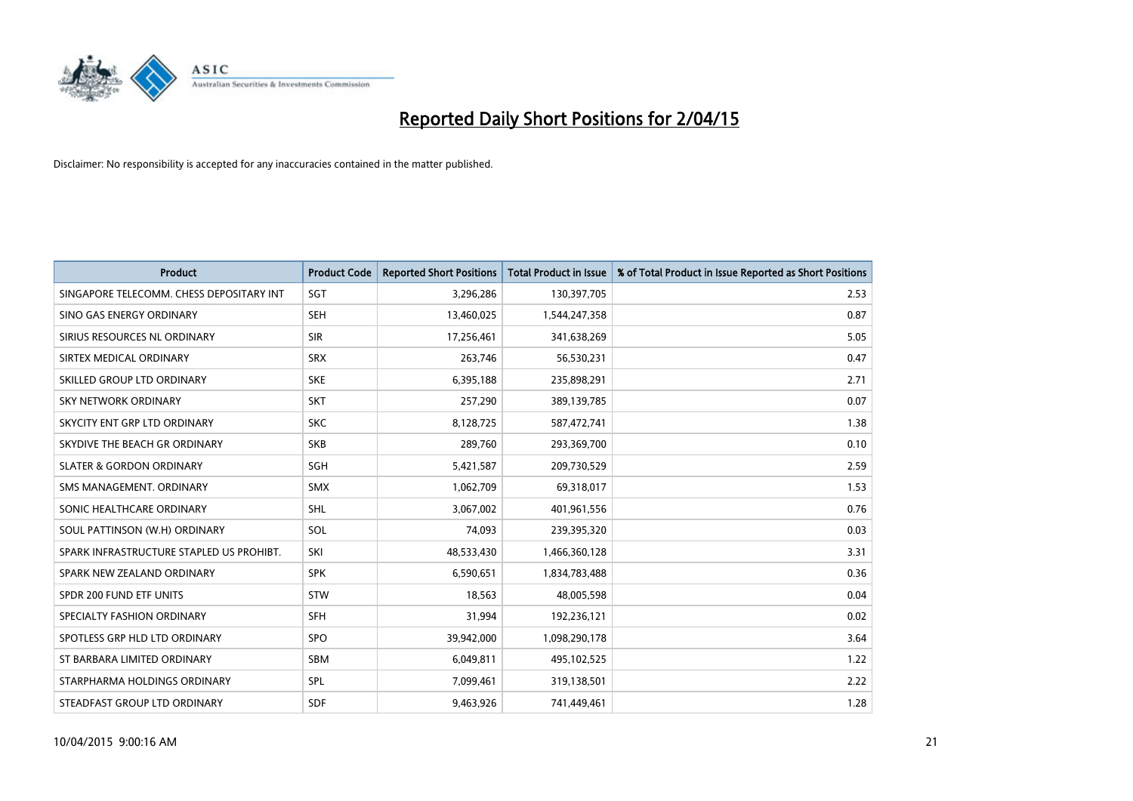

| <b>Product</b>                           | <b>Product Code</b> | <b>Reported Short Positions</b> | <b>Total Product in Issue</b> | % of Total Product in Issue Reported as Short Positions |
|------------------------------------------|---------------------|---------------------------------|-------------------------------|---------------------------------------------------------|
| SINGAPORE TELECOMM. CHESS DEPOSITARY INT | SGT                 | 3,296,286                       | 130,397,705                   | 2.53                                                    |
| SINO GAS ENERGY ORDINARY                 | <b>SEH</b>          | 13,460,025                      | 1,544,247,358                 | 0.87                                                    |
| SIRIUS RESOURCES NL ORDINARY             | <b>SIR</b>          | 17,256,461                      | 341,638,269                   | 5.05                                                    |
| SIRTEX MEDICAL ORDINARY                  | <b>SRX</b>          | 263,746                         | 56,530,231                    | 0.47                                                    |
| SKILLED GROUP LTD ORDINARY               | <b>SKE</b>          | 6,395,188                       | 235,898,291                   | 2.71                                                    |
| <b>SKY NETWORK ORDINARY</b>              | <b>SKT</b>          | 257,290                         | 389,139,785                   | 0.07                                                    |
| SKYCITY ENT GRP LTD ORDINARY             | <b>SKC</b>          | 8,128,725                       | 587,472,741                   | 1.38                                                    |
| SKYDIVE THE BEACH GR ORDINARY            | <b>SKB</b>          | 289,760                         | 293,369,700                   | 0.10                                                    |
| <b>SLATER &amp; GORDON ORDINARY</b>      | SGH                 | 5,421,587                       | 209,730,529                   | 2.59                                                    |
| SMS MANAGEMENT, ORDINARY                 | <b>SMX</b>          | 1,062,709                       | 69,318,017                    | 1.53                                                    |
| SONIC HEALTHCARE ORDINARY                | <b>SHL</b>          | 3,067,002                       | 401,961,556                   | 0.76                                                    |
| SOUL PATTINSON (W.H) ORDINARY            | SOL                 | 74,093                          | 239,395,320                   | 0.03                                                    |
| SPARK INFRASTRUCTURE STAPLED US PROHIBT. | SKI                 | 48,533,430                      | 1,466,360,128                 | 3.31                                                    |
| SPARK NEW ZEALAND ORDINARY               | <b>SPK</b>          | 6,590,651                       | 1,834,783,488                 | 0.36                                                    |
| SPDR 200 FUND ETF UNITS                  | STW                 | 18,563                          | 48,005,598                    | 0.04                                                    |
| SPECIALTY FASHION ORDINARY               | <b>SFH</b>          | 31,994                          | 192,236,121                   | 0.02                                                    |
| SPOTLESS GRP HLD LTD ORDINARY            | SPO                 | 39,942,000                      | 1,098,290,178                 | 3.64                                                    |
| ST BARBARA LIMITED ORDINARY              | <b>SBM</b>          | 6,049,811                       | 495,102,525                   | 1.22                                                    |
| STARPHARMA HOLDINGS ORDINARY             | SPL                 | 7,099,461                       | 319,138,501                   | 2.22                                                    |
| STEADFAST GROUP LTD ORDINARY             | <b>SDF</b>          | 9,463,926                       | 741,449,461                   | 1.28                                                    |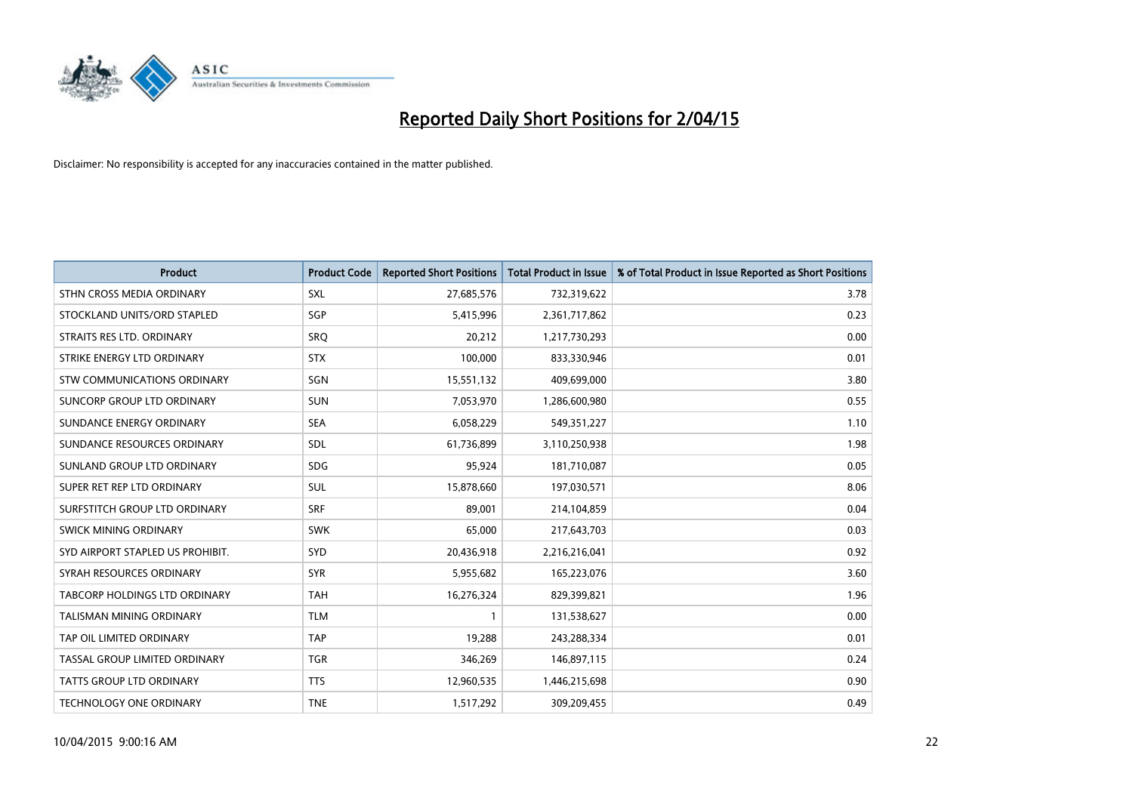

| <b>Product</b>                   | <b>Product Code</b> | <b>Reported Short Positions</b> | <b>Total Product in Issue</b> | % of Total Product in Issue Reported as Short Positions |
|----------------------------------|---------------------|---------------------------------|-------------------------------|---------------------------------------------------------|
| STHN CROSS MEDIA ORDINARY        | <b>SXL</b>          | 27,685,576                      | 732,319,622                   | 3.78                                                    |
| STOCKLAND UNITS/ORD STAPLED      | SGP                 | 5,415,996                       | 2,361,717,862                 | 0.23                                                    |
| STRAITS RES LTD. ORDINARY        | <b>SRQ</b>          | 20,212                          | 1,217,730,293                 | 0.00                                                    |
| STRIKE ENERGY LTD ORDINARY       | <b>STX</b>          | 100,000                         | 833,330,946                   | 0.01                                                    |
| STW COMMUNICATIONS ORDINARY      | SGN                 | 15,551,132                      | 409,699,000                   | 3.80                                                    |
| SUNCORP GROUP LTD ORDINARY       | <b>SUN</b>          | 7,053,970                       | 1,286,600,980                 | 0.55                                                    |
| SUNDANCE ENERGY ORDINARY         | <b>SEA</b>          | 6,058,229                       | 549,351,227                   | 1.10                                                    |
| SUNDANCE RESOURCES ORDINARY      | SDL                 | 61,736,899                      | 3,110,250,938                 | 1.98                                                    |
| SUNLAND GROUP LTD ORDINARY       | <b>SDG</b>          | 95,924                          | 181,710,087                   | 0.05                                                    |
| SUPER RET REP LTD ORDINARY       | <b>SUL</b>          | 15,878,660                      | 197,030,571                   | 8.06                                                    |
| SURFSTITCH GROUP LTD ORDINARY    | <b>SRF</b>          | 89,001                          | 214,104,859                   | 0.04                                                    |
| SWICK MINING ORDINARY            | <b>SWK</b>          | 65,000                          | 217,643,703                   | 0.03                                                    |
| SYD AIRPORT STAPLED US PROHIBIT. | SYD                 | 20,436,918                      | 2,216,216,041                 | 0.92                                                    |
| SYRAH RESOURCES ORDINARY         | <b>SYR</b>          | 5,955,682                       | 165,223,076                   | 3.60                                                    |
| TABCORP HOLDINGS LTD ORDINARY    | <b>TAH</b>          | 16,276,324                      | 829,399,821                   | 1.96                                                    |
| <b>TALISMAN MINING ORDINARY</b>  | <b>TLM</b>          |                                 | 131,538,627                   | 0.00                                                    |
| TAP OIL LIMITED ORDINARY         | <b>TAP</b>          | 19,288                          | 243,288,334                   | 0.01                                                    |
| TASSAL GROUP LIMITED ORDINARY    | <b>TGR</b>          | 346,269                         | 146,897,115                   | 0.24                                                    |
| <b>TATTS GROUP LTD ORDINARY</b>  | <b>TTS</b>          | 12,960,535                      | 1,446,215,698                 | 0.90                                                    |
| <b>TECHNOLOGY ONE ORDINARY</b>   | <b>TNE</b>          | 1,517,292                       | 309,209,455                   | 0.49                                                    |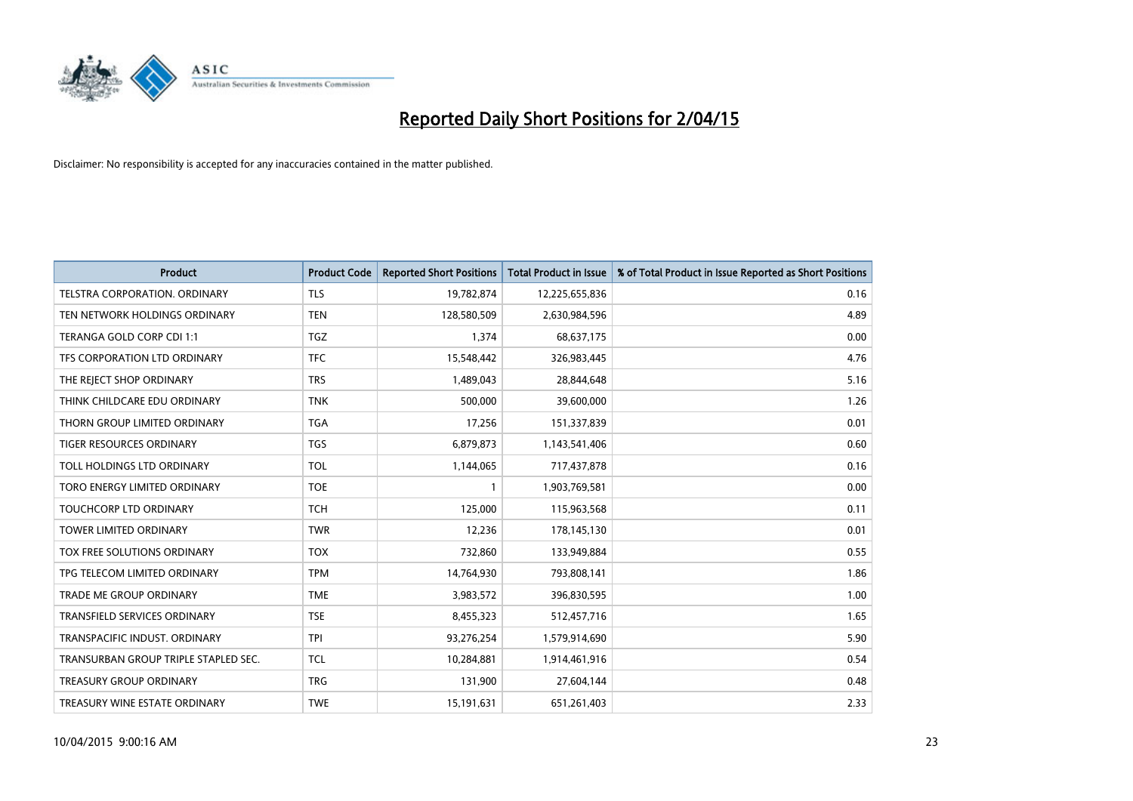

| <b>Product</b>                       | <b>Product Code</b> | <b>Reported Short Positions</b> | <b>Total Product in Issue</b> | % of Total Product in Issue Reported as Short Positions |
|--------------------------------------|---------------------|---------------------------------|-------------------------------|---------------------------------------------------------|
| <b>TELSTRA CORPORATION, ORDINARY</b> | <b>TLS</b>          | 19,782,874                      | 12,225,655,836                | 0.16                                                    |
| TEN NETWORK HOLDINGS ORDINARY        | <b>TEN</b>          | 128,580,509                     | 2,630,984,596                 | 4.89                                                    |
| TERANGA GOLD CORP CDI 1:1            | <b>TGZ</b>          | 1,374                           | 68,637,175                    | 0.00                                                    |
| TFS CORPORATION LTD ORDINARY         | <b>TFC</b>          | 15,548,442                      | 326,983,445                   | 4.76                                                    |
| THE REJECT SHOP ORDINARY             | <b>TRS</b>          | 1,489,043                       | 28,844,648                    | 5.16                                                    |
| THINK CHILDCARE EDU ORDINARY         | <b>TNK</b>          | 500,000                         | 39,600,000                    | 1.26                                                    |
| THORN GROUP LIMITED ORDINARY         | <b>TGA</b>          | 17,256                          | 151,337,839                   | 0.01                                                    |
| TIGER RESOURCES ORDINARY             | <b>TGS</b>          | 6,879,873                       | 1,143,541,406                 | 0.60                                                    |
| TOLL HOLDINGS LTD ORDINARY           | <b>TOL</b>          | 1,144,065                       | 717,437,878                   | 0.16                                                    |
| TORO ENERGY LIMITED ORDINARY         | <b>TOE</b>          | 1                               | 1,903,769,581                 | 0.00                                                    |
| TOUCHCORP LTD ORDINARY               | <b>TCH</b>          | 125,000                         | 115,963,568                   | 0.11                                                    |
| <b>TOWER LIMITED ORDINARY</b>        | <b>TWR</b>          | 12,236                          | 178,145,130                   | 0.01                                                    |
| TOX FREE SOLUTIONS ORDINARY          | <b>TOX</b>          | 732,860                         | 133,949,884                   | 0.55                                                    |
| TPG TELECOM LIMITED ORDINARY         | <b>TPM</b>          | 14,764,930                      | 793,808,141                   | 1.86                                                    |
| TRADE ME GROUP ORDINARY              | <b>TME</b>          | 3,983,572                       | 396,830,595                   | 1.00                                                    |
| <b>TRANSFIELD SERVICES ORDINARY</b>  | <b>TSE</b>          | 8,455,323                       | 512,457,716                   | 1.65                                                    |
| TRANSPACIFIC INDUST, ORDINARY        | <b>TPI</b>          | 93,276,254                      | 1,579,914,690                 | 5.90                                                    |
| TRANSURBAN GROUP TRIPLE STAPLED SEC. | <b>TCL</b>          | 10,284,881                      | 1,914,461,916                 | 0.54                                                    |
| <b>TREASURY GROUP ORDINARY</b>       | <b>TRG</b>          | 131,900                         | 27,604,144                    | 0.48                                                    |
| TREASURY WINE ESTATE ORDINARY        | <b>TWE</b>          | 15,191,631                      | 651,261,403                   | 2.33                                                    |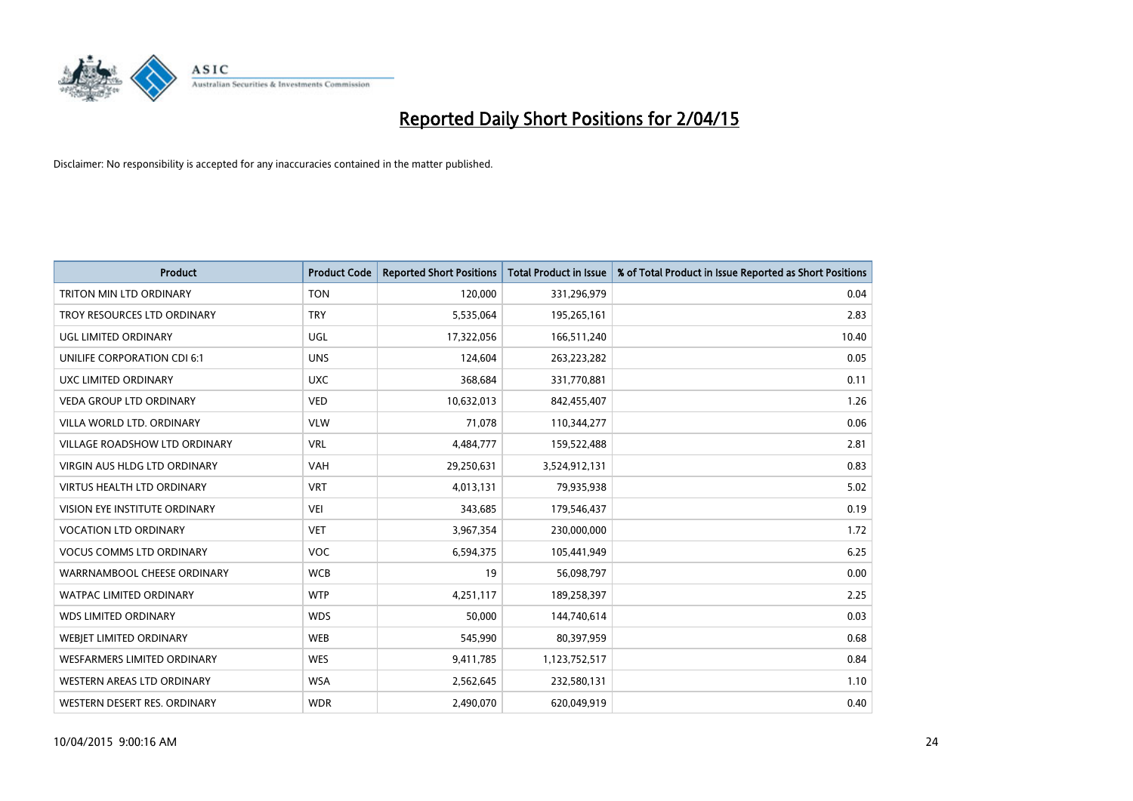

| <b>Product</b>                     | <b>Product Code</b> | <b>Reported Short Positions</b> | <b>Total Product in Issue</b> | % of Total Product in Issue Reported as Short Positions |
|------------------------------------|---------------------|---------------------------------|-------------------------------|---------------------------------------------------------|
| TRITON MIN LTD ORDINARY            | <b>TON</b>          | 120,000                         | 331,296,979                   | 0.04                                                    |
| TROY RESOURCES LTD ORDINARY        | <b>TRY</b>          | 5,535,064                       | 195,265,161                   | 2.83                                                    |
| UGL LIMITED ORDINARY               | UGL                 | 17,322,056                      | 166,511,240                   | 10.40                                                   |
| UNILIFE CORPORATION CDI 6:1        | <b>UNS</b>          | 124,604                         | 263,223,282                   | 0.05                                                    |
| UXC LIMITED ORDINARY               | <b>UXC</b>          | 368,684                         | 331,770,881                   | 0.11                                                    |
| <b>VEDA GROUP LTD ORDINARY</b>     | <b>VED</b>          | 10,632,013                      | 842,455,407                   | 1.26                                                    |
| VILLA WORLD LTD. ORDINARY          | <b>VLW</b>          | 71,078                          | 110,344,277                   | 0.06                                                    |
| VILLAGE ROADSHOW LTD ORDINARY      | <b>VRL</b>          | 4,484,777                       | 159,522,488                   | 2.81                                                    |
| VIRGIN AUS HLDG LTD ORDINARY       | <b>VAH</b>          | 29,250,631                      | 3,524,912,131                 | 0.83                                                    |
| <b>VIRTUS HEALTH LTD ORDINARY</b>  | <b>VRT</b>          | 4,013,131                       | 79,935,938                    | 5.02                                                    |
| VISION EYE INSTITUTE ORDINARY      | <b>VEI</b>          | 343,685                         | 179,546,437                   | 0.19                                                    |
| <b>VOCATION LTD ORDINARY</b>       | <b>VET</b>          | 3,967,354                       | 230,000,000                   | 1.72                                                    |
| <b>VOCUS COMMS LTD ORDINARY</b>    | <b>VOC</b>          | 6,594,375                       | 105,441,949                   | 6.25                                                    |
| WARRNAMBOOL CHEESE ORDINARY        | <b>WCB</b>          | 19                              | 56,098,797                    | 0.00                                                    |
| <b>WATPAC LIMITED ORDINARY</b>     | <b>WTP</b>          | 4,251,117                       | 189,258,397                   | 2.25                                                    |
| <b>WDS LIMITED ORDINARY</b>        | <b>WDS</b>          | 50,000                          | 144,740,614                   | 0.03                                                    |
| WEBJET LIMITED ORDINARY            | <b>WEB</b>          | 545,990                         | 80,397,959                    | 0.68                                                    |
| <b>WESFARMERS LIMITED ORDINARY</b> | <b>WES</b>          | 9,411,785                       | 1,123,752,517                 | 0.84                                                    |
| WESTERN AREAS LTD ORDINARY         | <b>WSA</b>          | 2,562,645                       | 232,580,131                   | 1.10                                                    |
| WESTERN DESERT RES. ORDINARY       | <b>WDR</b>          | 2,490,070                       | 620,049,919                   | 0.40                                                    |